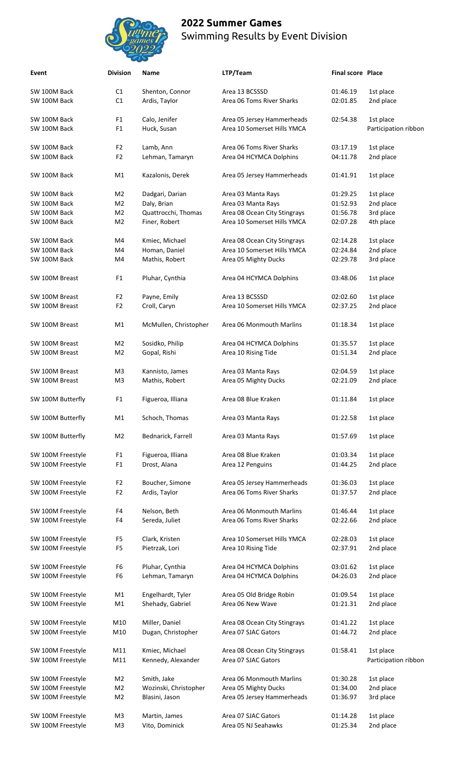

| Event             | <b>Division</b> | Name                  | LTP/Team                                                  | <b>Final score Place</b> |                      |
|-------------------|-----------------|-----------------------|-----------------------------------------------------------|--------------------------|----------------------|
| SW 100M Back      | C1              | Shenton, Connor       | Area 13 BCSSSD                                            | 01:46.19                 | 1st place            |
| SW 100M Back      | C1              | Ardis, Taylor         | Area 06 Toms River Sharks                                 | 02:01.85                 | 2nd place            |
| SW 100M Back      | F <sub>1</sub>  | Calo, Jenifer         |                                                           | 02:54.38                 | 1st place            |
| SW 100M Back      | F <sub>1</sub>  | Huck, Susan           | Area 05 Jersey Hammerheads<br>Area 10 Somerset Hills YMCA |                          | Participation ribbon |
| SW 100M Back      | F <sub>2</sub>  | Lamb, Ann             | Area 06 Toms River Sharks                                 | 03:17.19                 | 1st place            |
| SW 100M Back      | F <sub>2</sub>  | Lehman, Tamaryn       | Area 04 HCYMCA Dolphins                                   | 04:11.78                 | 2nd place            |
| SW 100M Back      | M1              | Kazalonis, Derek      | Area 05 Jersey Hammerheads                                | 01:41.91                 | 1st place            |
| SW 100M Back      | M <sub>2</sub>  | Dadgari, Darian       | Area 03 Manta Rays                                        | 01:29.25                 | 1st place            |
| SW 100M Back      | M <sub>2</sub>  | Daly, Brian           | Area 03 Manta Rays                                        | 01:52.93                 | 2nd place            |
| SW 100M Back      | M <sub>2</sub>  | Quattrocchi, Thomas   | Area 08 Ocean City Stingrays                              | 01:56.78                 | 3rd place            |
| SW 100M Back      | M <sub>2</sub>  | Finer, Robert         | Area 10 Somerset Hills YMCA                               | 02:07.28                 | 4th place            |
|                   |                 |                       |                                                           |                          |                      |
| SW 100M Back      | M4              | Kmiec, Michael        | Area 08 Ocean City Stingrays                              | 02:14.28                 | 1st place            |
| SW 100M Back      | M4              | Homan, Daniel         | Area 10 Somerset Hills YMCA                               | 02:24.84                 | 2nd place            |
| SW 100M Back      | M4              | Mathis, Robert        | Area 05 Mighty Ducks                                      | 02:29.78                 | 3rd place            |
| SW 100M Breast    | F <sub>1</sub>  | Pluhar, Cynthia       | Area 04 HCYMCA Dolphins                                   | 03:48.06                 | 1st place            |
|                   |                 |                       |                                                           |                          |                      |
| SW 100M Breast    | F <sub>2</sub>  | Payne, Emily          | Area 13 BCSSSD                                            | 02:02.60                 | 1st place            |
| SW 100M Breast    | F <sub>2</sub>  | Croll, Caryn          | Area 10 Somerset Hills YMCA                               | 02:37.25                 | 2nd place            |
| SW 100M Breast    | M1              | McMullen, Christopher | Area 06 Monmouth Marlins                                  | 01:18.34                 | 1st place            |
|                   |                 |                       |                                                           |                          |                      |
| SW 100M Breast    | M <sub>2</sub>  | Sosidko, Philip       | Area 04 HCYMCA Dolphins                                   | 01:35.57                 | 1st place            |
| SW 100M Breast    | M <sub>2</sub>  | Gopal, Rishi          | Area 10 Rising Tide                                       | 01:51.34                 | 2nd place            |
| SW 100M Breast    | M <sub>3</sub>  | Kannisto, James       | Area 03 Manta Rays                                        | 02:04.59                 | 1st place            |
| SW 100M Breast    | M <sub>3</sub>  | Mathis, Robert        | Area 05 Mighty Ducks                                      | 02:21.09                 | 2nd place            |
|                   |                 |                       |                                                           |                          |                      |
| SW 100M Butterfly | F <sub>1</sub>  | Figueroa, Illiana     | Area 08 Blue Kraken                                       | 01:11.84                 | 1st place            |
| SW 100M Butterfly | M1              | Schoch, Thomas        | Area 03 Manta Rays                                        | 01:22.58                 | 1st place            |
| SW 100M Butterfly | M2              | Bednarick, Farrell    | Area 03 Manta Rays                                        | 01:57.69                 | 1st place            |
| SW 100M Freestyle | F <sub>1</sub>  | Figueroa, Illiana     | Area 08 Blue Kraken                                       | 01:03.34                 | 1st place            |
| SW 100M Freestyle | F <sub>1</sub>  | Drost, Alana          | Area 12 Penguins                                          | 01:44.25                 | 2nd place            |
|                   |                 |                       |                                                           |                          |                      |
| SW 100M Freestyle | F <sub>2</sub>  | Boucher, Simone       | Area 05 Jersey Hammerheads                                | 01:36.03                 | 1st place            |
| SW 100M Freestyle | F <sub>2</sub>  | Ardis, Taylor         | Area 06 Toms River Sharks                                 | 01:37.57                 | 2nd place            |
| SW 100M Freestyle | F4              | Nelson, Beth          | Area 06 Monmouth Marlins                                  | 01:46.44                 | 1st place            |
| SW 100M Freestyle | F4              | Sereda, Juliet        | Area 06 Toms River Sharks                                 | 02:22.66                 | 2nd place            |
|                   |                 |                       |                                                           |                          |                      |
| SW 100M Freestyle | F <sub>5</sub>  | Clark, Kristen        | Area 10 Somerset Hills YMCA                               | 02:28.03                 | 1st place            |
| SW 100M Freestyle | F <sub>5</sub>  | Pietrzak, Lori        | Area 10 Rising Tide                                       | 02:37.91                 | 2nd place            |
|                   |                 |                       |                                                           |                          |                      |
| SW 100M Freestyle | F6              | Pluhar, Cynthia       | Area 04 HCYMCA Dolphins                                   | 03:01.62                 | 1st place            |
| SW 100M Freestyle | F <sub>6</sub>  | Lehman, Tamaryn       | Area 04 HCYMCA Dolphins                                   | 04:26.03                 | 2nd place            |
| SW 100M Freestyle | M1              | Engelhardt, Tyler     | Area 05 Old Bridge Robin                                  | 01:09.54                 | 1st place            |
| SW 100M Freestyle | M1              | Shehady, Gabriel      | Area 06 New Wave                                          | 01:21.31                 | 2nd place            |
|                   |                 |                       |                                                           |                          |                      |
| SW 100M Freestyle | M10             | Miller, Daniel        | Area 08 Ocean City Stingrays                              | 01:41.22                 | 1st place            |
| SW 100M Freestyle | M10             | Dugan, Christopher    | Area 07 SJAC Gators                                       | 01:44.72                 | 2nd place            |
| SW 100M Freestyle | M11             | Kmiec, Michael        | Area 08 Ocean City Stingrays                              | 01:58.41                 | 1st place            |
| SW 100M Freestyle | M11             | Kennedy, Alexander    | Area 07 SJAC Gators                                       |                          | Participation ribbon |
|                   |                 |                       | Area 06 Monmouth Marlins                                  |                          |                      |
| SW 100M Freestyle | M <sub>2</sub>  | Smith, Jake           |                                                           | 01:30.28                 | 1st place            |
| SW 100M Freestyle | M2              | Wozinski, Christopher | Area 05 Mighty Ducks                                      | 01:34.00                 | 2nd place            |
| SW 100M Freestyle | M2              | Blasini, Jason        | Area 05 Jersey Hammerheads                                | 01:36.97                 | 3rd place            |
| SW 100M Freestyle | M3              | Martin, James         | Area 07 SJAC Gators                                       | 01:14.28                 | 1st place            |
| SW 100M Freestyle | M <sub>3</sub>  | Vito, Dominick        | Area 05 NJ Seahawks                                       | 01:25.34                 | 2nd place            |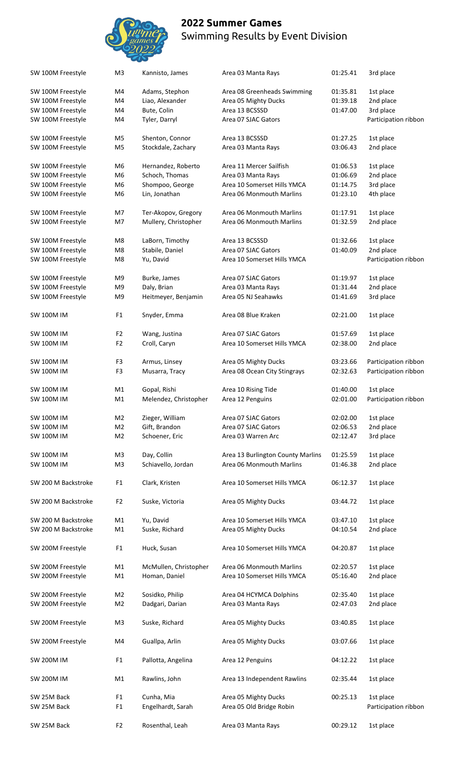

| SW 100M Freestyle   | M3             | Kannisto, James       | Area 03 Manta Rays                | 01:25.41 | 3rd place            |
|---------------------|----------------|-----------------------|-----------------------------------|----------|----------------------|
| SW 100M Freestyle   | M4             | Adams, Stephon        | Area 08 Greenheads Swimming       | 01:35.81 | 1st place            |
| SW 100M Freestyle   | M4             | Liao, Alexander       | Area 05 Mighty Ducks              | 01:39.18 | 2nd place            |
| SW 100M Freestyle   | M4             | Bute, Colin           | Area 13 BCSSSD                    | 01:47.00 | 3rd place            |
| SW 100M Freestyle   | M4             | Tyler, Darryl         | Area 07 SJAC Gators               |          | Participation ribbon |
| SW 100M Freestyle   | M <sub>5</sub> | Shenton, Connor       | Area 13 BCSSSD                    | 01:27.25 | 1st place            |
| SW 100M Freestyle   | M <sub>5</sub> | Stockdale, Zachary    | Area 03 Manta Rays                | 03:06.43 | 2nd place            |
| SW 100M Freestyle   | M <sub>6</sub> | Hernandez, Roberto    | Area 11 Mercer Sailfish           | 01:06.53 | 1st place            |
| SW 100M Freestyle   | M <sub>6</sub> | Schoch, Thomas        | Area 03 Manta Rays                | 01:06.69 | 2nd place            |
| SW 100M Freestyle   | M6             | Shompoo, George       | Area 10 Somerset Hills YMCA       | 01:14.75 | 3rd place            |
| SW 100M Freestyle   | M <sub>6</sub> | Lin, Jonathan         | Area 06 Monmouth Marlins          | 01:23.10 | 4th place            |
|                     |                |                       |                                   |          |                      |
| SW 100M Freestyle   | M7             | Ter-Akopov, Gregory   | Area 06 Monmouth Marlins          | 01:17.91 | 1st place            |
| SW 100M Freestyle   | M7             | Mullery, Christopher  | Area 06 Monmouth Marlins          | 01:32.59 | 2nd place            |
| SW 100M Freestyle   | M8             | LaBorn, Timothy       | Area 13 BCSSSD                    | 01:32.66 | 1st place            |
| SW 100M Freestyle   | M8             | Stabile, Daniel       | Area 07 SJAC Gators               | 01:40.09 | 2nd place            |
| SW 100M Freestyle   | M8             | Yu, David             | Area 10 Somerset Hills YMCA       |          | Participation ribbon |
| SW 100M Freestyle   | M9             | Burke, James          | Area 07 SJAC Gators               | 01:19.97 | 1st place            |
| SW 100M Freestyle   | M9             | Daly, Brian           | Area 03 Manta Rays                | 01:31.44 | 2nd place            |
|                     |                |                       |                                   |          |                      |
| SW 100M Freestyle   | M9             | Heitmeyer, Benjamin   | Area 05 NJ Seahawks               | 01:41.69 | 3rd place            |
| <b>SW 100M IM</b>   | F <sub>1</sub> | Snyder, Emma          | Area 08 Blue Kraken               | 02:21.00 | 1st place            |
| <b>SW 100M IM</b>   | F <sub>2</sub> | Wang, Justina         | Area 07 SJAC Gators               | 01:57.69 | 1st place            |
| <b>SW 100M IM</b>   | F <sub>2</sub> | Croll, Caryn          | Area 10 Somerset Hills YMCA       | 02:38.00 | 2nd place            |
| <b>SW 100M IM</b>   | F <sub>3</sub> | Armus, Linsey         | Area 05 Mighty Ducks              | 03:23.66 | Participation ribbon |
| <b>SW 100M IM</b>   | F3             | Musarra, Tracy        | Area 08 Ocean City Stingrays      | 02:32.63 | Participation ribbon |
|                     |                |                       |                                   |          |                      |
| <b>SW 100M IM</b>   | M1             | Gopal, Rishi          | Area 10 Rising Tide               | 01:40.00 | 1st place            |
| <b>SW 100M IM</b>   | M1             | Melendez, Christopher | Area 12 Penguins                  | 02:01.00 | Participation ribbon |
| <b>SW 100M IM</b>   | M <sub>2</sub> | Zieger, William       | Area 07 SJAC Gators               | 02:02.00 | 1st place            |
| <b>SW 100M IM</b>   | M <sub>2</sub> | Gift, Brandon         | Area 07 SJAC Gators               | 02:06.53 | 2nd place            |
| <b>SW 100M IM</b>   | M2             | Schoener, Eric        | Area 03 Warren Arc                | 02:12.47 | 3rd place            |
| <b>SW 100M IM</b>   | M <sub>3</sub> | Day, Collin           | Area 13 Burlington County Marlins | 01:25.59 | 1st place            |
| <b>SW 100M IM</b>   | M <sub>3</sub> | Schiavello, Jordan    | Area 06 Monmouth Marlins          | 01:46.38 | 2nd place            |
|                     |                |                       |                                   |          |                      |
| SW 200 M Backstroke | F <sub>1</sub> | Clark, Kristen        | Area 10 Somerset Hills YMCA       | 06:12.37 | 1st place            |
| SW 200 M Backstroke | F <sub>2</sub> | Suske, Victoria       | Area 05 Mighty Ducks              | 03:44.72 | 1st place            |
| SW 200 M Backstroke | M1             | Yu, David             | Area 10 Somerset Hills YMCA       | 03:47.10 | 1st place            |
| SW 200 M Backstroke | M1             | Suske, Richard        | Area 05 Mighty Ducks              | 04:10.54 | 2nd place            |
| SW 200M Freestyle   | F <sub>1</sub> | Huck, Susan           | Area 10 Somerset Hills YMCA       | 04:20.87 | 1st place            |
|                     |                |                       |                                   |          |                      |
| SW 200M Freestyle   | M1             | McMullen, Christopher | Area 06 Monmouth Marlins          | 02:20.57 | 1st place            |
| SW 200M Freestyle   | M1             | Homan, Daniel         | Area 10 Somerset Hills YMCA       | 05:16.40 | 2nd place            |
|                     |                |                       |                                   |          |                      |
| SW 200M Freestyle   | M2             | Sosidko, Philip       | Area 04 HCYMCA Dolphins           | 02:35.40 | 1st place            |
| SW 200M Freestyle   | M <sub>2</sub> | Dadgari, Darian       | Area 03 Manta Rays                | 02:47.03 | 2nd place            |
| SW 200M Freestyle   | M <sub>3</sub> | Suske, Richard        | Area 05 Mighty Ducks              | 03:40.85 | 1st place            |
| SW 200M Freestyle   | M4             | Guallpa, Arlin        | Area 05 Mighty Ducks              | 03:07.66 | 1st place            |
| <b>SW 200M IM</b>   | F <sub>1</sub> | Pallotta, Angelina    | Area 12 Penguins                  | 04:12.22 | 1st place            |
|                     |                |                       |                                   |          |                      |
| <b>SW 200M IM</b>   | M1             | Rawlins, John         | Area 13 Independent Rawlins       | 02:35.44 | 1st place            |
| SW 25M Back         | F <sub>1</sub> | Cunha, Mia            | Area 05 Mighty Ducks              | 00:25.13 | 1st place            |
| SW 25M Back         | F <sub>1</sub> | Engelhardt, Sarah     | Area 05 Old Bridge Robin          |          | Participation ribbon |
| SW 25M Back         | F <sub>2</sub> | Rosenthal, Leah       | Area 03 Manta Rays                | 00:29.12 | 1st place            |
|                     |                |                       |                                   |          |                      |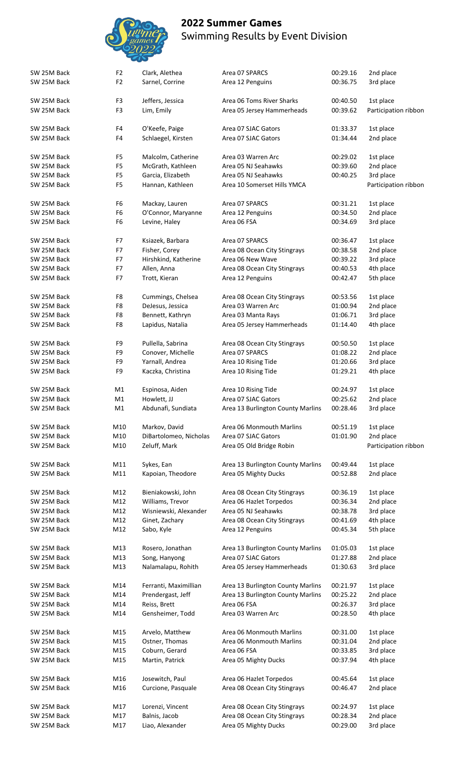

| SW 25M Back<br>SW 25M Back | F <sub>2</sub><br>F <sub>2</sub> | Clark, Alethea<br>Sarnel, Corrine    | Area 07 SPARCS<br>Area 12 Penguins         | 00:29.16<br>00:36.75 | 2nd place<br>3rd place            |
|----------------------------|----------------------------------|--------------------------------------|--------------------------------------------|----------------------|-----------------------------------|
| SW 25M Back<br>SW 25M Back | F <sub>3</sub><br>F <sub>3</sub> | Jeffers, Jessica<br>Lim, Emily       | Area 06 Toms River Sharks                  | 00:40.50<br>00:39.62 | 1st place<br>Participation ribbon |
|                            |                                  |                                      | Area 05 Jersey Hammerheads                 |                      |                                   |
| SW 25M Back<br>SW 25M Back | F4<br>F <sub>4</sub>             | O'Keefe, Paige<br>Schlaegel, Kirsten | Area 07 SJAC Gators<br>Area 07 SJAC Gators | 01:33.37<br>01:34.44 | 1st place<br>2nd place            |
| SW 25M Back                | F <sub>5</sub>                   | Malcolm, Catherine                   | Area 03 Warren Arc                         | 00:29.02             | 1st place                         |
| SW 25M Back                | F <sub>5</sub>                   | McGrath, Kathleen                    | Area 05 NJ Seahawks                        | 00:39.60             | 2nd place                         |
| SW 25M Back                | F <sub>5</sub>                   | Garcia, Elizabeth                    | Area 05 NJ Seahawks                        | 00:40.25             | 3rd place                         |
| SW 25M Back                | F <sub>5</sub>                   | Hannan, Kathleen                     | Area 10 Somerset Hills YMCA                |                      | Participation ribbon              |
| SW 25M Back                | F <sub>6</sub>                   | Mackay, Lauren                       | Area 07 SPARCS                             | 00:31.21             | 1st place                         |
| SW 25M Back                | F <sub>6</sub>                   | O'Connor, Maryanne                   | Area 12 Penguins                           | 00:34.50             | 2nd place                         |
| SW 25M Back                | F <sub>6</sub>                   | Levine, Haley                        | Area 06 FSA                                | 00:34.69             | 3rd place                         |
|                            |                                  |                                      |                                            |                      |                                   |
| SW 25M Back                | F7                               | Ksiazek, Barbara                     | Area 07 SPARCS                             | 00:36.47             | 1st place                         |
| SW 25M Back                | F7                               | Fisher, Corey                        | Area 08 Ocean City Stingrays               | 00:38.58             | 2nd place                         |
| SW 25M Back                | F7                               | Hirshkind, Katherine                 | Area 06 New Wave                           | 00:39.22             | 3rd place                         |
| SW 25M Back                | F7                               | Allen, Anna                          | Area 08 Ocean City Stingrays               | 00:40.53             | 4th place                         |
|                            | F7                               |                                      |                                            |                      |                                   |
| SW 25M Back                |                                  | Trott, Kieran                        | Area 12 Penguins                           | 00:42.47             | 5th place                         |
| SW 25M Back                | F8                               | Cummings, Chelsea                    | Area 08 Ocean City Stingrays               | 00:53.56             | 1st place                         |
| SW 25M Back                | F <sub>8</sub>                   | DeJesus, Jessica                     | Area 03 Warren Arc                         | 01:00.94             | 2nd place                         |
| SW 25M Back                | F8                               | Bennett, Kathryn                     | Area 03 Manta Rays                         | 01:06.71             | 3rd place                         |
|                            | F8                               |                                      |                                            |                      |                                   |
| SW 25M Back                |                                  | Lapidus, Natalia                     | Area 05 Jersey Hammerheads                 | 01:14.40             | 4th place                         |
| SW 25M Back                | F9                               | Pullella, Sabrina                    | Area 08 Ocean City Stingrays               | 00:50.50             | 1st place                         |
| SW 25M Back                | F9                               | Conover, Michelle                    | Area 07 SPARCS                             | 01:08.22             | 2nd place                         |
| SW 25M Back                | F9                               | Yarnall, Andrea                      | Area 10 Rising Tide                        | 01:20.66             | 3rd place                         |
|                            |                                  |                                      |                                            |                      |                                   |
| SW 25M Back                | F9                               | Kaczka, Christina                    | Area 10 Rising Tide                        | 01:29.21             | 4th place                         |
| SW 25M Back                | M1                               | Espinosa, Aiden                      | Area 10 Rising Tide                        | 00:24.97             | 1st place                         |
| SW 25M Back                | M <sub>1</sub>                   | Howlett, JJ                          | Area 07 SJAC Gators                        | 00:25.62             | 2nd place                         |
| SW 25M Back                | M1                               | Abdunafi, Sundiata                   | Area 13 Burlington County Marlins          | 00:28.46             | 3rd place                         |
| SW 25M Back                | M10                              | Markov, David                        | Area 06 Monmouth Marlins                   | 00:51.19             | 1st place                         |
| SW 25M Back                | M10                              | DiBartolomeo, Nicholas               | Area 07 SJAC Gators                        | 01:01.90             | 2nd place                         |
| SW 25M Back                | M10                              | Zeluff, Mark                         | Area 05 Old Bridge Robin                   |                      | Participation ribbon              |
| SW 25M Back                | M11                              | Sykes, Ean                           | Area 13 Burlington County Marlins          | 00:49.44             | 1st place                         |
|                            |                                  |                                      |                                            |                      |                                   |
| SW 25M Back                | M11                              | Kapoian, Theodore                    | Area 05 Mighty Ducks                       | 00:52.88             | 2nd place                         |
| SW 25M Back                | M12                              | Bieniakowski, John                   | Area 08 Ocean City Stingrays               | 00:36.19             | 1st place                         |
| SW 25M Back                | M12                              | Williams, Trevor                     | Area 06 Hazlet Torpedos                    | 00:36.34             | 2nd place                         |
| SW 25M Back                | M12                              | Wisniewski, Alexander                | Area 05 NJ Seahawks                        | 00:38.78             | 3rd place                         |
| SW 25M Back                | M12                              | Ginet, Zachary                       |                                            | 00:41.69             | 4th place                         |
|                            |                                  |                                      | Area 08 Ocean City Stingrays               |                      |                                   |
| SW 25M Back                | M12                              | Sabo, Kyle                           | Area 12 Penguins                           | 00:45.34             | 5th place                         |
| SW 25M Back                | M13                              | Rosero, Jonathan                     | Area 13 Burlington County Marlins          | 01:05.03             | 1st place                         |
| SW 25M Back                | M13                              | Song, Hanyong                        | Area 07 SJAC Gators                        | 01:27.88             | 2nd place                         |
| SW 25M Back                | M13                              | Nalamalapu, Rohith                   | Area 05 Jersey Hammerheads                 | 01:30.63             | 3rd place                         |
|                            |                                  |                                      |                                            |                      |                                   |
| SW 25M Back                | M14                              | Ferranti, Maximillian                | Area 13 Burlington County Marlins          | 00:21.97             | 1st place                         |
| SW 25M Back                | M14                              | Prendergast, Jeff                    | Area 13 Burlington County Marlins          | 00:25.22             | 2nd place                         |
| SW 25M Back                | M14                              | Reiss, Brett                         | Area 06 FSA                                | 00:26.37             | 3rd place                         |
| SW 25M Back                | M14                              | Gensheimer, Todd                     | Area 03 Warren Arc                         | 00:28.50             | 4th place                         |
| SW 25M Back                | M15                              | Arvelo, Matthew                      | Area 06 Monmouth Marlins                   | 00:31.00             | 1st place                         |
| SW 25M Back                | M15                              | Ostner, Thomas                       | Area 06 Monmouth Marlins                   | 00:31.04             | 2nd place                         |
| SW 25M Back                | M15                              | Coburn, Gerard                       | Area 06 FSA                                | 00:33.85             | 3rd place                         |
| SW 25M Back                | M15                              | Martin, Patrick                      | Area 05 Mighty Ducks                       | 00:37.94             | 4th place                         |
|                            |                                  |                                      |                                            |                      |                                   |
| SW 25M Back                | M16                              | Josewitch, Paul                      | Area 06 Hazlet Torpedos                    | 00:45.64             | 1st place                         |
| SW 25M Back                | M16                              | Curcione, Pasquale                   | Area 08 Ocean City Stingrays               | 00:46.47             | 2nd place                         |
| SW 25M Back                | M17                              | Lorenzi, Vincent                     | Area 08 Ocean City Stingrays               | 00:24.97             | 1st place                         |
| SW 25M Back                | M17                              | Balnis, Jacob                        | Area 08 Ocean City Stingrays               | 00:28.34             | 2nd place                         |
| SW 25M Back                | M17                              | Liao, Alexander                      | Area 05 Mighty Ducks                       | 00:29.00             | 3rd place                         |
|                            |                                  |                                      |                                            |                      |                                   |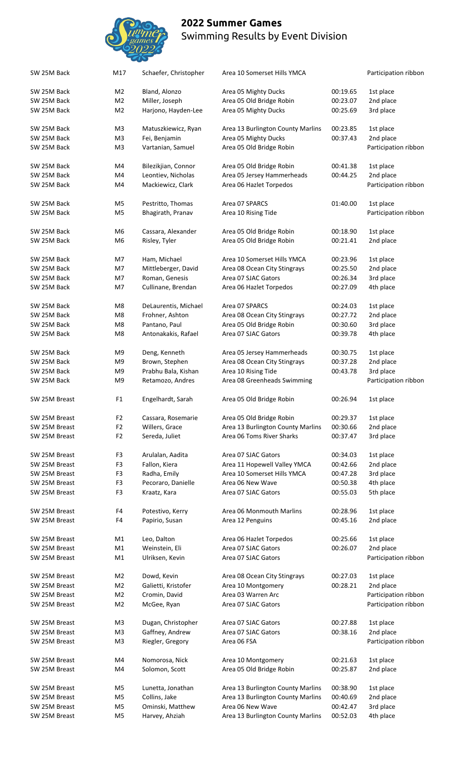SW 25M Back M17 Schaefer, Christopher Area 10 Somerset Hills YMCA Participation ribbon



SW 25M Back M2 Bland, Alonzo Area 05 Mighty Ducks 00:19.65 1st place SW 25M Back M2 Miller, Joseph Area 05 Old Bridge Robin 00:23.07 2nd place SW 25M Back M2 Harjono, Hayden-Lee Area 05 Mighty Ducks 00:25.69 3rd place SW 25M Back M3 Matuszkiewicz, Ryan Area 13 Burlington County Marlins 00:23.85 1st place SW 25M Back M3 Fei, Benjamin Area 05 Mighty Ducks 00:37.43 2nd place SW 25M Back M3 Vartanian, Samuel Area 05 Old Bridge Robin Participation ribbon SW 25M Back M4 Bilezikjian, Connor Area 05 Old Bridge Robin 00:41.38 1st place SW 25M Back M4 Leontiev, Nicholas Area 05 Jersey Hammerheads 00:44.25 2nd place SW 25M Back M4 Mackiewicz, Clark Area 06 Hazlet Torpedos Participation ribbon SW 25M Back M5 Pestritto, Thomas Area 07 SPARCS 01:40.00 1st place SW 25M Back M5 Bhagirath, Pranav Area 10 Rising Tide Castle Raticipation ribbon SW 25M Back M6 Cassara, Alexander Area 05 Old Bridge Robin 00:18.90 1st place SW 25M Back M6 Risley, Tyler Area 05 Old Bridge Robin 00:21.41 2nd place SW 25M Back M7 Ham, Michael Area 10 Somerset Hills YMCA 00:23.96 1st place SW 25M Back M7 Mittleberger, David Area 08 Ocean City Stingrays 00:25.50 2nd place SW 25M Back M7 Roman, Genesis Area 07 SJAC Gators 00:26.34 3rd place SW 25M Back M7 Cullinane, Brendan Area 06 Hazlet Torpedos 00:27.09 4th place SW 25M Back M8 DeLaurentis, Michael Area 07 SPARCS 00:24.03 1st place SW 25M Back M8 Frohner, Ashton Area 08 Ocean City Stingrays 00:27.72 2nd place SW 25M Back M8 Pantano, Paul Area 05 Old Bridge Robin 00:30.60 3rd place SW 25M Back M8 Antonakakis, Rafael Area 07 SJAC Gators 00:39.78 4th place SW 25M Back M9 Deng, Kenneth Area 05 Jersey Hammerheads 00:30.75 1st place SW 25M Back M9 Brown, Stephen Area 08 Ocean City Stingrays 00:37.28 2nd place SW 25M Back M9 Prabhu Bala, Kishan Area 10 Rising Tide 00:43.78 3rd place SW 25M Back M9 Retamozo, Andres Area 08 Greenheads Swimming Participation ribbon SW 25M Breast F1 Engelhardt, Sarah Area 05 Old Bridge Robin 00:26.94 1st place SW 25M Breast F2 Cassara, Rosemarie Area 05 Old Bridge Robin 00:29.37 1st place SW 25M Breast F2 Willers, Grace Area 13 Burlington County Marlins 00:30.66 2nd place SW 25M Breast F2 Sereda, Juliet Area 06 Toms River Sharks 00:37.47 3rd place SW 25M Breast F3 Arulalan, Aadita Area 07 SJAC Gators 00:34.03 1st place SW 25M Breast F3 Fallon, Kiera Area 11 Hopewell Valley YMCA 00:42.66 2nd place SW 25M Breast F3 Radha, Emily Area 10 Somerset Hills YMCA 00:47.28 3rd place SW 25M Breast F3 Pecoraro, Danielle Area 06 New Wave 00:50.38 4th place SW 25M Breast **F3** Kraatz, Kara **Area 07 SJAC Gators** 00:55.03 5th place SW 25M Breast F4 Potestivo, Kerry Area 06 Monmouth Marlins 00:28.96 1st place SW 25M Breast F4 Papirio, Susan Area 12 Penguins 00:45.16 2nd place SW 25M Breast M1 Leo, Dalton Area 06 Hazlet Torpedos 00:25.66 1st place SW 25M Breast M1 Weinstein, Eli Area 07 SJAC Gators 00:26.07 2nd place SW 25M Breast M1 Ulriksen, Kevin Area 07 SJAC Gators Castos Participation ribbon SW 25M Breast M2 Dowd, Kevin Area 08 Ocean City Stingrays 00:27.03 1st place SW 25M Breast M2 Galietti, Kristofer Area 10 Montgomery 00:28.21 2nd place SW 25M Breast M2 Cromin, David Area 03 Warren Arc Participation ribbon SW 25M Breast M2 McGee, Ryan Area 07 SJAC Gators Participation ribbon SW 25M Breast M3 Dugan, Christopher Area 07 SJAC Gators 00:27.88 1st place SW 25M Breast M3 Gaffney, Andrew Area 07 SJAC Gators 00:38.16 2nd place SW 25M Breast M3 Riegler, Gregory Area 06 FSA Participation ribbon SW 25M Breast M4 Nomorosa, Nick Area 10 Montgomery 00:21.63 1st place SW 25M Breast M4 Solomon, Scott Area 05 Old Bridge Robin 00:25.87 2nd place SW 25M Breast M5 Lunetta, Jonathan Area 13 Burlington County Marlins 00:38.90 1st place SW 25M Breast M5 Collins, Jake Area 13 Burlington County Marlins 00:40.69 2nd place SW 25M Breast M5 Ominski, Matthew Area 06 New Wave 00:42.47 3rd place SW 25M Breast M5 Harvey, Ahziah Area 13 Burlington County Marlins 00:52.03 4th place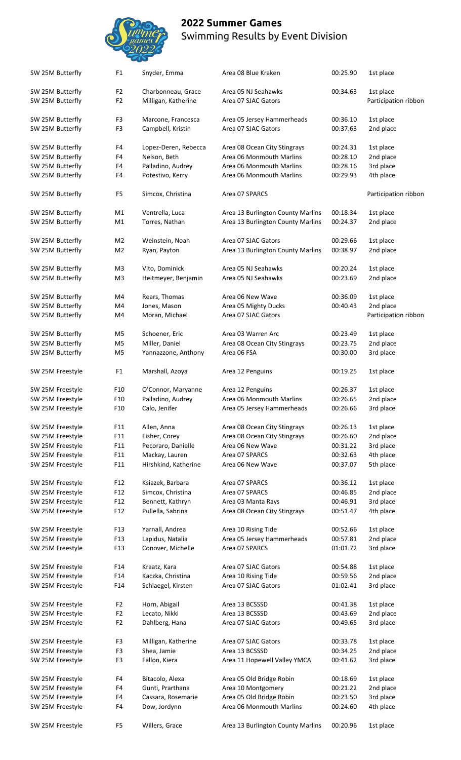

| SW 25M Butterfly | F <sub>1</sub>  | Snyder, Emma         | Area 08 Blue Kraken               | 00:25.90 | 1st place            |
|------------------|-----------------|----------------------|-----------------------------------|----------|----------------------|
| SW 25M Butterfly | F <sub>2</sub>  | Charbonneau, Grace   | Area 05 NJ Seahawks               | 00:34.63 | 1st place            |
| SW 25M Butterfly | F <sub>2</sub>  | Milligan, Katherine  | Area 07 SJAC Gators               |          | Participation ribbon |
| SW 25M Butterfly | F <sub>3</sub>  | Marcone, Francesca   | Area 05 Jersey Hammerheads        | 00:36.10 | 1st place            |
| SW 25M Butterfly | F3              | Campbell, Kristin    | Area 07 SJAC Gators               | 00:37.63 | 2nd place            |
| SW 25M Butterfly | F4              | Lopez-Deren, Rebecca | Area 08 Ocean City Stingrays      | 00:24.31 | 1st place            |
| SW 25M Butterfly | F4              | Nelson, Beth         | Area 06 Monmouth Marlins          | 00:28.10 | 2nd place            |
| SW 25M Butterfly | F4              | Palladino, Audrey    | Area 06 Monmouth Marlins          | 00:28.16 | 3rd place            |
| SW 25M Butterfly | F4              | Potestivo, Kerry     | Area 06 Monmouth Marlins          | 00:29.93 | 4th place            |
| SW 25M Butterfly | F <sub>5</sub>  | Simcox, Christina    | Area 07 SPARCS                    |          | Participation ribbon |
| SW 25M Butterfly | M1              | Ventrella, Luca      | Area 13 Burlington County Marlins | 00:18.34 | 1st place            |
| SW 25M Butterfly | M1              | Torres, Nathan       | Area 13 Burlington County Marlins | 00:24.37 | 2nd place            |
| SW 25M Butterfly | M <sub>2</sub>  | Weinstein, Noah      | Area 07 SJAC Gators               | 00:29.66 | 1st place            |
| SW 25M Butterfly | M <sub>2</sub>  | Ryan, Payton         | Area 13 Burlington County Marlins | 00:38.97 | 2nd place            |
| SW 25M Butterfly | M <sub>3</sub>  | Vito, Dominick       | Area 05 NJ Seahawks               | 00:20.24 | 1st place            |
| SW 25M Butterfly | M <sub>3</sub>  | Heitmeyer, Benjamin  | Area 05 NJ Seahawks               | 00:23.69 | 2nd place            |
| SW 25M Butterfly | M4              | Rears, Thomas        | Area 06 New Wave                  | 00:36.09 | 1st place            |
| SW 25M Butterfly | M4              | Jones, Mason         | Area 05 Mighty Ducks              | 00:40.43 | 2nd place            |
| SW 25M Butterfly | M4              | Moran, Michael       | Area 07 SJAC Gators               |          | Participation ribbon |
| SW 25M Butterfly | M <sub>5</sub>  | Schoener, Eric       | Area 03 Warren Arc                | 00:23.49 | 1st place            |
| SW 25M Butterfly | M <sub>5</sub>  | Miller, Daniel       | Area 08 Ocean City Stingrays      | 00:23.75 | 2nd place            |
| SW 25M Butterfly | M <sub>5</sub>  | Yannazzone, Anthony  | Area 06 FSA                       | 00:30.00 | 3rd place            |
| SW 25M Freestyle | F <sub>1</sub>  | Marshall, Azoya      | Area 12 Penguins                  | 00:19.25 | 1st place            |
| SW 25M Freestyle | F <sub>10</sub> | O'Connor, Maryanne   | Area 12 Penguins                  | 00:26.37 | 1st place            |
| SW 25M Freestyle | F10             | Palladino, Audrey    | Area 06 Monmouth Marlins          | 00:26.65 | 2nd place            |
| SW 25M Freestyle | F10             | Calo, Jenifer        | Area 05 Jersey Hammerheads        | 00:26.66 | 3rd place            |
|                  |                 |                      |                                   |          |                      |
| SW 25M Freestyle | F11             | Allen, Anna          | Area 08 Ocean City Stingrays      | 00:26.13 | 1st place            |
| SW 25M Freestyle | F11             | Fisher, Corey        | Area 08 Ocean City Stingrays      | 00:26.60 | 2nd place            |
| SW 25M Freestyle | F11             | Pecoraro, Danielle   | Area 06 New Wave                  | 00:31.22 | 3rd place            |
| SW 25M Freestyle | F11             | Mackay, Lauren       | Area 07 SPARCS                    | 00:32.63 | 4th place            |
| SW 25M Freestyle | F11             | Hirshkind, Katherine | Area 06 New Wave                  | 00:37.07 | 5th place            |
| SW 25M Freestyle | F12             | Ksiazek, Barbara     | Area 07 SPARCS                    | 00:36.12 | 1st place            |
| SW 25M Freestyle | F12             | Simcox, Christina    | Area 07 SPARCS                    | 00:46.85 | 2nd place            |
| SW 25M Freestyle | F12             | Bennett, Kathryn     | Area 03 Manta Rays                | 00:46.91 | 3rd place            |
| SW 25M Freestyle | F12             | Pullella, Sabrina    | Area 08 Ocean City Stingrays      | 00:51.47 | 4th place            |
| SW 25M Freestyle | F13             | Yarnall, Andrea      | Area 10 Rising Tide               | 00:52.66 | 1st place            |
| SW 25M Freestyle | F13             | Lapidus, Natalia     | Area 05 Jersey Hammerheads        | 00:57.81 | 2nd place            |
| SW 25M Freestyle | F13             | Conover, Michelle    | Area 07 SPARCS                    | 01:01.72 | 3rd place            |
| SW 25M Freestyle | F14             | Kraatz, Kara         | Area 07 SJAC Gators               | 00:54.88 | 1st place            |
| SW 25M Freestyle | F14             | Kaczka, Christina    | Area 10 Rising Tide               | 00:59.56 | 2nd place            |
| SW 25M Freestyle | F14             | Schlaegel, Kirsten   | Area 07 SJAC Gators               | 01:02.41 | 3rd place            |
| SW 25M Freestyle | F <sub>2</sub>  | Horn, Abigail        | Area 13 BCSSSD                    | 00:41.38 | 1st place            |
| SW 25M Freestyle | F <sub>2</sub>  | Lecato, Nikki        | Area 13 BCSSSD                    | 00:43.69 | 2nd place            |
| SW 25M Freestyle | F <sub>2</sub>  | Dahlberg, Hana       | Area 07 SJAC Gators               | 00:49.65 | 3rd place            |
| SW 25M Freestyle | F <sub>3</sub>  | Milligan, Katherine  | Area 07 SJAC Gators               | 00:33.78 | 1st place            |
| SW 25M Freestyle | F <sub>3</sub>  | Shea, Jamie          | Area 13 BCSSSD                    | 00:34.25 | 2nd place            |
| SW 25M Freestyle | F <sub>3</sub>  | Fallon, Kiera        | Area 11 Hopewell Valley YMCA      | 00:41.62 | 3rd place            |
| SW 25M Freestyle | F4              | Bitacolo, Alexa      | Area 05 Old Bridge Robin          | 00:18.69 | 1st place            |
| SW 25M Freestyle | F4              | Gunti, Prarthana     | Area 10 Montgomery                | 00:21.22 | 2nd place            |
| SW 25M Freestyle | F4              | Cassara, Rosemarie   | Area 05 Old Bridge Robin          | 00:23.50 | 3rd place            |
| SW 25M Freestyle | F4              | Dow, Jordynn         | Area 06 Monmouth Marlins          | 00:24.60 | 4th place            |
| SW 25M Freestyle | F <sub>5</sub>  | Willers, Grace       | Area 13 Burlington County Marlins | 00:20.96 | 1st place            |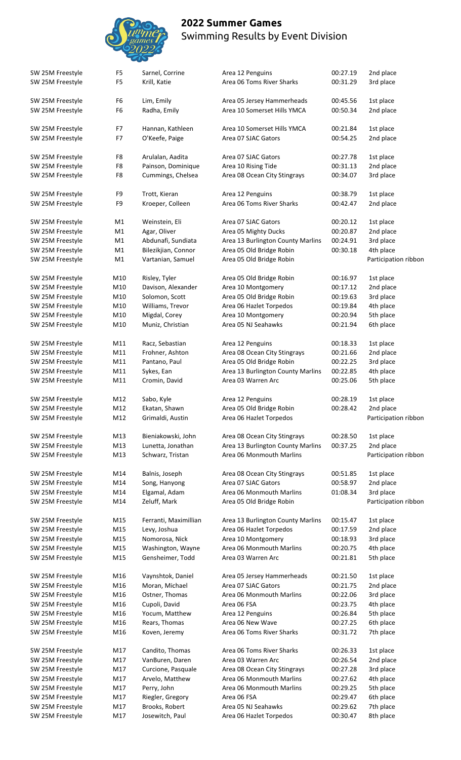

| SW 25M Freestyle                     | F <sub>5</sub>                   | Sarnel, Corrine                       | Area 12 Penguins                                             | 00:27.19             | 2nd place              |
|--------------------------------------|----------------------------------|---------------------------------------|--------------------------------------------------------------|----------------------|------------------------|
| SW 25M Freestyle                     | F <sub>5</sub>                   | Krill, Katie                          | Area 06 Toms River Sharks                                    | 00:31.29             | 3rd place              |
| SW 25M Freestyle<br>SW 25M Freestyle | F <sub>6</sub><br>F <sub>6</sub> | Lim, Emily<br>Radha, Emily            | Area 05 Jersey Hammerheads<br>Area 10 Somerset Hills YMCA    | 00:45.56<br>00:50.34 | 1st place<br>2nd place |
| SW 25M Freestyle                     | F7                               | Hannan, Kathleen                      | Area 10 Somerset Hills YMCA                                  | 00:21.84             | 1st place              |
| SW 25M Freestyle                     | F7                               | O'Keefe, Paige                        | Area 07 SJAC Gators                                          | 00:54.25             | 2nd place              |
| SW 25M Freestyle                     | F8                               | Arulalan, Aadita                      | Area 07 SJAC Gators                                          | 00:27.78             | 1st place              |
| SW 25M Freestyle                     | F8                               | Painson, Dominique                    | Area 10 Rising Tide                                          | 00:31.13             | 2nd place              |
| SW 25M Freestyle                     | F <sub>8</sub>                   | Cummings, Chelsea                     | Area 08 Ocean City Stingrays                                 | 00:34.07             | 3rd place              |
| SW 25M Freestyle                     | F9                               | Trott, Kieran                         | Area 12 Penguins                                             | 00:38.79             | 1st place              |
| SW 25M Freestyle                     | F9                               | Kroeper, Colleen                      | Area 06 Toms River Sharks                                    | 00:42.47             | 2nd place              |
| SW 25M Freestyle                     | M1                               | Weinstein, Eli                        | Area 07 SJAC Gators                                          | 00:20.12             | 1st place              |
| SW 25M Freestyle                     | M1                               | Agar, Oliver                          | Area 05 Mighty Ducks                                         | 00:20.87             | 2nd place              |
| SW 25M Freestyle                     | M1                               | Abdunafi, Sundiata                    | Area 13 Burlington County Marlins                            | 00:24.91             | 3rd place              |
| SW 25M Freestyle                     | M1                               | Bilezikjian, Connor                   | Area 05 Old Bridge Robin                                     | 00:30.18             | 4th place              |
| SW 25M Freestyle                     | M1                               | Vartanian, Samuel                     | Area 05 Old Bridge Robin                                     |                      | Participation ribbor   |
| SW 25M Freestyle                     | M10                              | Risley, Tyler                         | Area 05 Old Bridge Robin                                     | 00:16.97             | 1st place              |
| SW 25M Freestyle                     | M10                              | Davison, Alexander                    | Area 10 Montgomery                                           | 00:17.12             | 2nd place              |
| SW 25M Freestyle                     | M10                              | Solomon, Scott                        | Area 05 Old Bridge Robin                                     | 00:19.63             | 3rd place              |
| SW 25M Freestyle                     | M10                              | Williams, Trevor                      | Area 06 Hazlet Torpedos                                      | 00:19.84             | 4th place              |
| SW 25M Freestyle                     | M10                              | Migdal, Corey                         | Area 10 Montgomery                                           | 00:20.94             | 5th place              |
| SW 25M Freestyle                     | M10                              | Muniz, Christian                      | Area 05 NJ Seahawks                                          | 00:21.94             | 6th place              |
| SW 25M Freestyle                     | M11                              | Racz, Sebastian                       | Area 12 Penguins                                             | 00:18.33             | 1st place              |
| SW 25M Freestyle                     | M11                              | Frohner, Ashton                       | Area 08 Ocean City Stingrays                                 | 00:21.66             | 2nd place              |
| SW 25M Freestyle                     | M11                              | Pantano, Paul                         | Area 05 Old Bridge Robin                                     | 00:22.25             | 3rd place              |
| SW 25M Freestyle                     | M11                              | Sykes, Ean                            | Area 13 Burlington County Marlins                            | 00:22.85             | 4th place              |
| SW 25M Freestyle                     | M11                              | Cromin, David                         | Area 03 Warren Arc                                           | 00:25.06             | 5th place              |
| SW 25M Freestyle                     | M12                              | Sabo, Kyle                            | Area 12 Penguins                                             | 00:28.19             | 1st place              |
| SW 25M Freestyle                     | M12                              | Ekatan, Shawn                         | Area 05 Old Bridge Robin                                     | 00:28.42             | 2nd place              |
| SW 25M Freestyle                     | M12                              | Grimaldi, Austin                      | Area 06 Hazlet Torpedos                                      |                      | Participation ribbor   |
| SW 25M Freestyle                     | M13                              | Bieniakowski, John                    | Area 08 Ocean City Stingrays                                 | 00:28.50             | 1st place              |
| SW 25M Freestyle                     | M13                              | Lunetta, Jonathan                     | Area 13 Burlington County Marlins                            | 00:37.25             | 2nd place              |
| SW 25M Freestyle                     | M13                              | Schwarz, Tristan                      | Area 06 Monmouth Marlins                                     |                      | Participation ribbor   |
| SW 25M Freestyle                     | M14                              | Balnis, Joseph                        | Area 08 Ocean City Stingrays                                 | 00:51.85             | 1st place              |
| SW 25M Freestyle                     | M14                              | Song, Hanyong                         | Area 07 SJAC Gators                                          | 00:58.97             | 2nd place              |
| SW 25M Freestyle                     | M14                              | Elgamal, Adam                         | Area 06 Monmouth Marlins                                     | 01:08.34             | 3rd place              |
| SW 25M Freestyle                     | M14                              | Zeluff, Mark                          | Area 05 Old Bridge Robin                                     |                      | Participation ribbor   |
| SW 25M Freestyle<br>SW 25M Freestyle | M15<br>M15                       | Ferranti, Maximillian<br>Levy, Joshua | Area 13 Burlington County Marlins<br>Area 06 Hazlet Torpedos | 00:15.47<br>00:17.59 | 1st place<br>2nd place |
| SW 25M Freestyle                     | M15                              | Nomorosa, Nick                        |                                                              | 00:18.93             | 3rd place              |
| SW 25M Freestyle                     | M15                              | Washington, Wayne                     | Area 10 Montgomery<br>Area 06 Monmouth Marlins               | 00:20.75             | 4th place              |
| SW 25M Freestyle                     | M15                              | Gensheimer, Todd                      | Area 03 Warren Arc                                           | 00:21.81             | 5th place              |
| SW 25M Freestyle                     | M16                              | Vaynshtok, Daniel                     | Area 05 Jersey Hammerheads                                   | 00:21.50             | 1st place              |
| SW 25M Freestyle                     | M16                              | Moran, Michael                        | Area 07 SJAC Gators                                          | 00:21.75             | 2nd place              |
| SW 25M Freestyle                     | M16                              | Ostner, Thomas                        | Area 06 Monmouth Marlins                                     | 00:22.06             | 3rd place              |
| SW 25M Freestyle                     | M16                              | Cupoli, David                         | Area 06 FSA                                                  | 00:23.75             | 4th place              |
| SW 25M Freestyle                     | M16                              | Yocum, Matthew                        |                                                              | 00:26.84             | 5th place              |
|                                      |                                  |                                       | Area 12 Penguins<br>Area 06 New Wave                         |                      |                        |
| SW 25M Freestyle<br>SW 25M Freestyle | M16<br>M16                       | Rears, Thomas<br>Koven, Jeremy        | Area 06 Toms River Sharks                                    | 00:27.25<br>00:31.72 | 6th place<br>7th place |
| SW 25M Freestyle                     | M17                              | Candito, Thomas                       | Area 06 Toms River Sharks                                    | 00:26.33             | 1st place              |
| SW 25M Freestyle                     | M17                              | VanBuren, Daren                       | Area 03 Warren Arc                                           | 00:26.54             | 2nd place              |
| SW 25M Freestyle                     | M17                              | Curcione, Pasquale                    | Area 08 Ocean City Stingrays                                 | 00:27.28             | 3rd place              |
| SW 25M Freestyle                     | M17                              | Arvelo, Matthew                       | Area 06 Monmouth Marlins                                     | 00:27.62             | 4th place              |
| SW 25M Freestyle                     | M17                              | Perry, John                           | Area 06 Monmouth Marlins                                     | 00:29.25             | 5th place              |
| SW 25M Freestyle                     | M17                              | Riegler, Gregory                      | Area 06 FSA                                                  | 00:29.47             | 6th place              |
| SW 25M Freestyle                     | M17                              | Brooks, Robert                        | Area 05 NJ Seahawks                                          | 00:29.62             | 7th place              |
|                                      |                                  |                                       |                                                              |                      |                        |
| SW 25M Freestyle                     | M17                              | Josewitch, Paul                       | Area 06 Hazlet Torpedos                                      | 00:30.47             | 8th place              |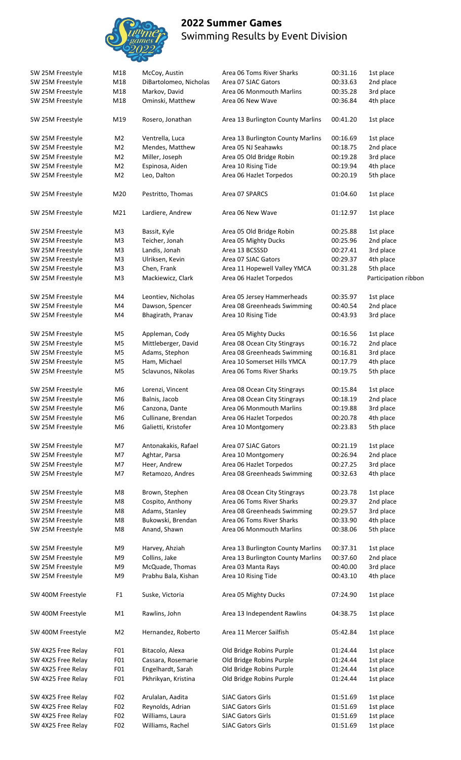

| SW 25M Freestyle   | M18            | McCoy, Austin          | Area 06 Toms River Sharks         | 00:31.16 | 1st place            |
|--------------------|----------------|------------------------|-----------------------------------|----------|----------------------|
| SW 25M Freestyle   | M18            | DiBartolomeo, Nicholas | Area 07 SJAC Gators               | 00:33.63 | 2nd place            |
| SW 25M Freestyle   | M18            | Markov, David          | Area 06 Monmouth Marlins          | 00:35.28 | 3rd place            |
| SW 25M Freestyle   | M18            | Ominski, Matthew       | Area 06 New Wave                  | 00:36.84 | 4th place            |
|                    |                |                        |                                   |          |                      |
| SW 25M Freestyle   | M19            | Rosero, Jonathan       | Area 13 Burlington County Marlins | 00:41.20 | 1st place            |
| SW 25M Freestyle   | M <sub>2</sub> | Ventrella, Luca        | Area 13 Burlington County Marlins | 00:16.69 | 1st place            |
| SW 25M Freestyle   | M <sub>2</sub> | Mendes, Matthew        | Area 05 NJ Seahawks               | 00:18.75 | 2nd place            |
| SW 25M Freestyle   | M <sub>2</sub> | Miller, Joseph         | Area 05 Old Bridge Robin          | 00:19.28 | 3rd place            |
|                    | M <sub>2</sub> | Espinosa, Aiden        | Area 10 Rising Tide               | 00:19.94 | 4th place            |
| SW 25M Freestyle   |                |                        |                                   |          |                      |
| SW 25M Freestyle   | M <sub>2</sub> | Leo, Dalton            | Area 06 Hazlet Torpedos           | 00:20.19 | 5th place            |
| SW 25M Freestyle   | M20            | Pestritto, Thomas      | Area 07 SPARCS                    | 01:04.60 | 1st place            |
| SW 25M Freestyle   | M21            | Lardiere, Andrew       | Area 06 New Wave                  | 01:12.97 | 1st place            |
| SW 25M Freestyle   | M <sub>3</sub> | Bassit, Kyle           | Area 05 Old Bridge Robin          | 00:25.88 | 1st place            |
| SW 25M Freestyle   | M <sub>3</sub> | Teicher, Jonah         | Area 05 Mighty Ducks              | 00:25.96 | 2nd place            |
| SW 25M Freestyle   | M <sub>3</sub> | Landis, Jonah          | Area 13 BCSSSD                    | 00:27.41 | 3rd place            |
|                    |                |                        |                                   |          |                      |
| SW 25M Freestyle   | M <sub>3</sub> | Ulriksen, Kevin        | Area 07 SJAC Gators               | 00:29.37 | 4th place            |
| SW 25M Freestyle   | M <sub>3</sub> | Chen, Frank            | Area 11 Hopewell Valley YMCA      | 00:31.28 | 5th place            |
| SW 25M Freestyle   | M <sub>3</sub> | Mackiewicz, Clark      | Area 06 Hazlet Torpedos           |          | Participation ribbor |
| SW 25M Freestyle   | M4             | Leontiev, Nicholas     | Area 05 Jersey Hammerheads        | 00:35.97 | 1st place            |
| SW 25M Freestyle   | M4             | Dawson, Spencer        | Area 08 Greenheads Swimming       | 00:40.54 | 2nd place            |
| SW 25M Freestyle   | M4             | Bhagirath, Pranav      | Area 10 Rising Tide               | 00:43.93 | 3rd place            |
| SW 25M Freestyle   | M5             | Appleman, Cody         | Area 05 Mighty Ducks              | 00:16.56 | 1st place            |
|                    |                |                        |                                   |          |                      |
| SW 25M Freestyle   | M <sub>5</sub> | Mittleberger, David    | Area 08 Ocean City Stingrays      | 00:16.72 | 2nd place            |
| SW 25M Freestyle   | M <sub>5</sub> | Adams, Stephon         | Area 08 Greenheads Swimming       | 00:16.81 | 3rd place            |
| SW 25M Freestyle   | M <sub>5</sub> | Ham, Michael           | Area 10 Somerset Hills YMCA       | 00:17.79 | 4th place            |
| SW 25M Freestyle   | M <sub>5</sub> | Sclavunos, Nikolas     | Area 06 Toms River Sharks         | 00:19.75 | 5th place            |
| SW 25M Freestyle   | M6             | Lorenzi, Vincent       | Area 08 Ocean City Stingrays      | 00:15.84 | 1st place            |
| SW 25M Freestyle   | M6             | Balnis, Jacob          | Area 08 Ocean City Stingrays      | 00:18.19 | 2nd place            |
| SW 25M Freestyle   | M6             | Canzona, Dante         | Area 06 Monmouth Marlins          | 00:19.88 | 3rd place            |
|                    |                |                        |                                   |          |                      |
| SW 25M Freestyle   | M <sub>6</sub> | Cullinane, Brendan     | Area 06 Hazlet Torpedos           | 00:20.78 | 4th place            |
| SW 25M Freestyle   | M6             | Galietti, Kristofer    | Area 10 Montgomery                | 00:23.83 | 5th place            |
| SW 25M Freestyle   | M7             | Antonakakis, Rafael    | Area 07 SJAC Gators               | 00:21.19 | 1st place            |
| SW 25M Freestyle   | M7             | Aghtar, Parsa          | Area 10 Montgomery                | 00:26.94 | 2nd place            |
| SW 25M Freestyle   | M7             | Heer, Andrew           | Area 06 Hazlet Torpedos           | 00:27.25 | 3rd place            |
| SW 25M Freestyle   | M7             | Retamozo, Andres       | Area 08 Greenheads Swimming       | 00:32.63 | 4th place            |
|                    |                |                        |                                   |          |                      |
| SW 25M Freestyle   | M8             | Brown, Stephen         | Area 08 Ocean City Stingrays      | 00:23.78 | 1st place            |
| SW 25M Freestyle   | M8             | Cospito, Anthony       | Area 06 Toms River Sharks         | 00:29.37 | 2nd place            |
| SW 25M Freestyle   | M8             | Adams, Stanley         | Area 08 Greenheads Swimming       | 00:29.57 | 3rd place            |
| SW 25M Freestyle   | M8             | Bukowski, Brendan      | Area 06 Toms River Sharks         | 00:33.90 | 4th place            |
|                    |                |                        |                                   |          |                      |
| SW 25M Freestyle   | M8             | Anand, Shawn           | Area 06 Monmouth Marlins          | 00:38.06 | 5th place            |
| SW 25M Freestyle   | M9             | Harvey, Ahziah         | Area 13 Burlington County Marlins | 00:37.31 | 1st place            |
| SW 25M Freestyle   | M9             | Collins, Jake          | Area 13 Burlington County Marlins | 00:37.60 | 2nd place            |
| SW 25M Freestyle   | M9             | McQuade, Thomas        | Area 03 Manta Rays                | 00:40.00 | 3rd place            |
| SW 25M Freestyle   | M9             | Prabhu Bala, Kishan    | Area 10 Rising Tide               | 00:43.10 | 4th place            |
| SW 400M Freestyle  | F <sub>1</sub> | Suske, Victoria        | Area 05 Mighty Ducks              | 07:24.90 | 1st place            |
|                    |                |                        |                                   |          |                      |
| SW 400M Freestyle  | M1             | Rawlins, John          | Area 13 Independent Rawlins       | 04:38.75 | 1st place            |
| SW 400M Freestyle  | M <sub>2</sub> | Hernandez, Roberto     | Area 11 Mercer Sailfish           | 05:42.84 | 1st place            |
| SW 4X25 Free Relay | F01            | Bitacolo, Alexa        | Old Bridge Robins Purple          | 01:24.44 | 1st place            |
| SW 4X25 Free Relay | F01            | Cassara, Rosemarie     | Old Bridge Robins Purple          | 01:24.44 | 1st place            |
| SW 4X25 Free Relay | F01            | Engelhardt, Sarah      | Old Bridge Robins Purple          | 01:24.44 | 1st place            |
| SW 4X25 Free Relay | F01            | Pkhrikyan, Kristina    | Old Bridge Robins Purple          | 01:24.44 | 1st place            |
|                    |                |                        |                                   |          |                      |
| SW 4X25 Free Relay | F02            | Arulalan, Aadita       | <b>SJAC Gators Girls</b>          | 01:51.69 | 1st place            |
| SW 4X25 Free Relay | F02            | Reynolds, Adrian       | <b>SJAC Gators Girls</b>          | 01:51.69 | 1st place            |
| SW 4X25 Free Relay | F02            | Williams, Laura        | <b>SJAC Gators Girls</b>          | 01:51.69 | 1st place            |
| SW 4X25 Free Relay | F02            | Williams, Rachel       | <b>SJAC Gators Girls</b>          | 01:51.69 | 1st place            |
|                    |                |                        |                                   |          |                      |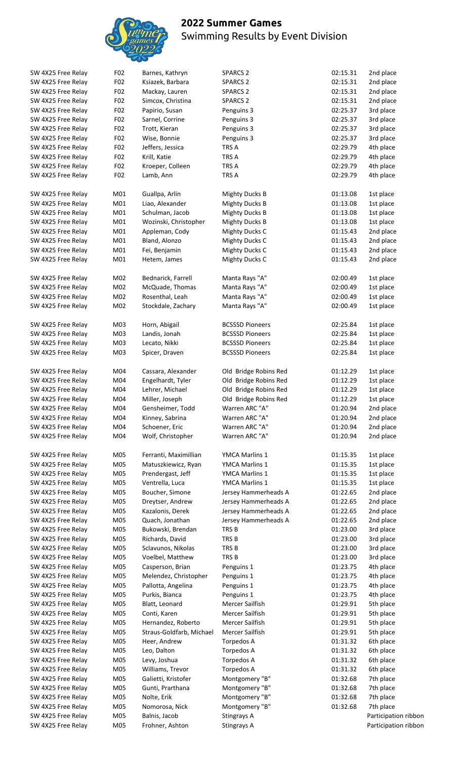

| SW 4X25 Free Relay | F02             | Barnes, Kathryn          | <b>SPARCS 2</b>        | 02:15.31 | 2nd place   |
|--------------------|-----------------|--------------------------|------------------------|----------|-------------|
| SW 4X25 Free Relay | F <sub>02</sub> | Ksiazek, Barbara         | <b>SPARCS 2</b>        | 02:15.31 | 2nd place   |
| SW 4X25 Free Relay | F02             | Mackay, Lauren           | <b>SPARCS 2</b>        | 02:15.31 | 2nd place   |
| SW 4X25 Free Relay | F02             | Simcox, Christina        | <b>SPARCS 2</b>        | 02:15.31 | 2nd place   |
| SW 4X25 Free Relay | F <sub>02</sub> | Papirio, Susan           | Penguins 3             | 02:25.37 | 3rd place   |
| SW 4X25 Free Relay | F <sub>02</sub> | Sarnel, Corrine          | Penguins 3             | 02:25.37 |             |
|                    |                 |                          |                        |          | 3rd place   |
| SW 4X25 Free Relay | F02             | Trott, Kieran            | Penguins 3             | 02:25.37 | 3rd place   |
| SW 4X25 Free Relay | F02             | Wise, Bonnie             | Penguins 3             | 02:25.37 | 3rd place   |
| SW 4X25 Free Relay | F <sub>02</sub> | Jeffers, Jessica         | TRS A                  | 02:29.79 | 4th place   |
| SW 4X25 Free Relay | F <sub>02</sub> | Krill, Katie             | TRS A                  | 02:29.79 | 4th place   |
| SW 4X25 Free Relay | F <sub>02</sub> | Kroeper, Colleen         | TRS A                  | 02:29.79 | 4th place   |
|                    |                 |                          |                        |          |             |
| SW 4X25 Free Relay | F02             | Lamb, Ann                | TRS A                  | 02:29.79 | 4th place   |
|                    |                 |                          |                        |          |             |
| SW 4X25 Free Relay | M01             | Guallpa, Arlin           | <b>Mighty Ducks B</b>  | 01:13.08 | 1st place   |
| SW 4X25 Free Relay | M01             | Liao, Alexander          | <b>Mighty Ducks B</b>  | 01:13.08 | 1st place   |
| SW 4X25 Free Relay | M01             | Schulman, Jacob          | <b>Mighty Ducks B</b>  | 01:13.08 | 1st place   |
| SW 4X25 Free Relay | M <sub>01</sub> | Wozinski, Christopher    | <b>Mighty Ducks B</b>  | 01:13.08 | 1st place   |
| SW 4X25 Free Relay | M01             | Appleman, Cody           | <b>Mighty Ducks C</b>  | 01:15.43 | 2nd place   |
| SW 4X25 Free Relay | M01             | Bland, Alonzo            | <b>Mighty Ducks C</b>  | 01:15.43 | 2nd place   |
|                    |                 |                          |                        |          |             |
| SW 4X25 Free Relay | M01             | Fei, Benjamin            | <b>Mighty Ducks C</b>  | 01:15.43 | 2nd place   |
| SW 4X25 Free Relay | M01             | Hetem, James             | <b>Mighty Ducks C</b>  | 01:15.43 | 2nd place   |
|                    |                 |                          |                        |          |             |
| SW 4X25 Free Relay | M02             | Bednarick, Farrell       | Manta Rays "A"         | 02:00.49 | 1st place   |
| SW 4X25 Free Relay | M02             | McQuade, Thomas          | Manta Rays "A"         | 02:00.49 | 1st place   |
| SW 4X25 Free Relay | M02             | Rosenthal, Leah          | Manta Rays "A"         | 02:00.49 | 1st place   |
| SW 4X25 Free Relay | M02             | Stockdale, Zachary       | Manta Rays "A"         | 02:00.49 | 1st place   |
|                    |                 |                          |                        |          |             |
|                    |                 |                          |                        |          |             |
| SW 4X25 Free Relay | M03             | Horn, Abigail            | <b>BCSSSD Pioneers</b> | 02:25.84 | 1st place   |
| SW 4X25 Free Relay | M03             | Landis, Jonah            | <b>BCSSSD Pioneers</b> | 02:25.84 | 1st place   |
| SW 4X25 Free Relay | M03             | Lecato, Nikki            | <b>BCSSSD Pioneers</b> | 02:25.84 | 1st place   |
| SW 4X25 Free Relay | M03             | Spicer, Draven           | <b>BCSSSD Pioneers</b> | 02:25.84 | 1st place   |
|                    |                 |                          |                        |          |             |
| SW 4X25 Free Relay | M04             | Cassara, Alexander       | Old Bridge Robins Red  | 01:12.29 | 1st place   |
| SW 4X25 Free Relay | M04             | Engelhardt, Tyler        | Old Bridge Robins Red  | 01:12.29 | 1st place   |
|                    |                 |                          |                        |          |             |
| SW 4X25 Free Relay | M04             | Lehrer, Michael          | Old Bridge Robins Red  | 01:12.29 | 1st place   |
| SW 4X25 Free Relay | M04             | Miller, Joseph           | Old Bridge Robins Red  | 01:12.29 | 1st place   |
| SW 4X25 Free Relay | M04             | Gensheimer, Todd         | Warren ARC "A"         | 01:20.94 | 2nd place   |
| SW 4X25 Free Relay | M04             | Kinney, Sabrina          | Warren ARC "A"         | 01:20.94 | 2nd place   |
| SW 4X25 Free Relay | M04             | Schoener, Eric           | Warren ARC "A"         | 01:20.94 | 2nd place   |
| SW 4X25 Free Relay | M04             | Wolf, Christopher        | Warren ARC "A"         | 01:20.94 | 2nd place   |
|                    |                 |                          |                        |          |             |
| SW 4X25 Free Relay | M05             | Ferranti, Maximillian    | YMCA Marlins 1         | 01:15.35 |             |
|                    |                 |                          |                        |          | 1st place   |
| SW 4X25 Free Relay | M05             | Matuszkiewicz, Ryan      | YMCA Marlins 1         | 01:15.35 | 1st place   |
| SW 4X25 Free Relay | M05             | Prendergast, Jeff        | YMCA Marlins 1         | 01:15.35 | 1st place   |
| SW 4X25 Free Relay | M05             | Ventrella, Luca          | YMCA Marlins 1         | 01:15.35 | 1st place   |
| SW 4X25 Free Relay | M05             | Boucher, Simone          | Jersey Hammerheads A   | 01:22.65 | 2nd place   |
| SW 4X25 Free Relay | M05             | Dreytser, Andrew         | Jersey Hammerheads A   | 01:22.65 | 2nd place   |
|                    | M05             | Kazalonis, Derek         | Jersey Hammerheads A   | 01:22.65 | 2nd place   |
| SW 4X25 Free Relay |                 |                          |                        |          |             |
| SW 4X25 Free Relay | M05             | Quach, Jonathan          | Jersey Hammerheads A   | 01:22.65 | 2nd place   |
| SW 4X25 Free Relay | M05             | Bukowski, Brendan        | TRS B                  | 01:23.00 | 3rd place   |
| SW 4X25 Free Relay | M05             | Richards, David          | TRS B                  | 01:23.00 | 3rd place   |
| SW 4X25 Free Relay | M05             | Sclavunos, Nikolas       | TRS B                  | 01:23.00 | 3rd place   |
| SW 4X25 Free Relay | M05             | Voelbel, Matthew         | TRS B                  | 01:23.00 | 3rd place   |
| SW 4X25 Free Relay | M05             | Casperson, Brian         | Penguins 1             | 01:23.75 | 4th place   |
|                    |                 |                          |                        |          |             |
| SW 4X25 Free Relay | M05             | Melendez, Christopher    | Penguins 1             | 01:23.75 | 4th place   |
| SW 4X25 Free Relay | M05             | Pallotta, Angelina       | Penguins 1             | 01:23.75 | 4th place   |
| SW 4X25 Free Relay | M05             | Purkis, Bianca           | Penguins 1             | 01:23.75 | 4th place   |
| SW 4X25 Free Relay | M05             | Blatt, Leonard           | Mercer Sailfish        | 01:29.91 | 5th place   |
| SW 4X25 Free Relay | M05             | Conti, Karen             | Mercer Sailfish        | 01:29.91 | 5th place   |
| SW 4X25 Free Relay | M05             | Hernandez, Roberto       | Mercer Sailfish        | 01:29.91 | 5th place   |
|                    |                 |                          |                        |          |             |
| SW 4X25 Free Relay | M05             | Straus-Goldfarb, Michael | Mercer Sailfish        | 01:29.91 | 5th place   |
| SW 4X25 Free Relay | M05             | Heer, Andrew             | Torpedos A             | 01:31.32 | 6th place   |
| SW 4X25 Free Relay | M05             | Leo, Dalton              | Torpedos A             | 01:31.32 | 6th place   |
| SW 4X25 Free Relay | M05             | Levy, Joshua             | Torpedos A             | 01:31.32 | 6th place   |
| SW 4X25 Free Relay | M05             | Williams, Trevor         | Torpedos A             | 01:31.32 | 6th place   |
| SW 4X25 Free Relay | M05             | Galietti, Kristofer      | Montgomery "B"         | 01:32.68 | 7th place   |
|                    |                 |                          |                        |          |             |
| SW 4X25 Free Relay | M05             | Gunti, Prarthana         | Montgomery "B"         | 01:32.68 | 7th place   |
| SW 4X25 Free Relay | M05             | Nolte, Erik              | Montgomery "B"         | 01:32.68 | 7th place   |
| SW 4X25 Free Relay | M05             | Nomorosa, Nick           | Montgomery "B"         | 01:32.68 | 7th place   |
| SW 4X25 Free Relay | M05             | Balnis, Jacob            | Stingrays A            |          | Participati |
| SW 4X25 Free Relay | M05             | Frohner, Ashton          | Stingrays A            |          | Participati |
|                    |                 |                          |                        |          |             |

rticipation ribbon rticipation ribbon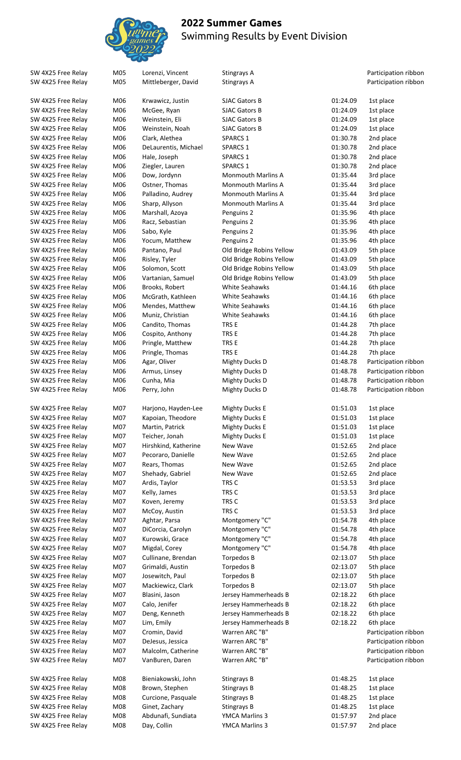

| SW 4X25 Free Relay | M05 | Lorenzi, Vincent     | Stingrays A               |          | Participation ribbon |
|--------------------|-----|----------------------|---------------------------|----------|----------------------|
| SW 4X25 Free Relay | M05 | Mittleberger, David  | Stingrays A               |          | Participation ribbon |
|                    |     |                      |                           |          |                      |
| SW 4X25 Free Relay | M06 | Krwawicz, Justin     | <b>SJAC Gators B</b>      | 01:24.09 | 1st place            |
| SW 4X25 Free Relay | M06 | McGee, Ryan          | <b>SJAC Gators B</b>      | 01:24.09 | 1st place            |
| SW 4X25 Free Relay | M06 | Weinstein, Eli       | <b>SJAC Gators B</b>      | 01:24.09 | 1st place            |
| SW 4X25 Free Relay | M06 | Weinstein, Noah      | <b>SJAC Gators B</b>      | 01:24.09 | 1st place            |
| SW 4X25 Free Relay | M06 | Clark, Alethea       | <b>SPARCS 1</b>           | 01:30.78 | 2nd place            |
| SW 4X25 Free Relay | M06 | DeLaurentis, Michael | <b>SPARCS 1</b>           | 01:30.78 | 2nd place            |
| SW 4X25 Free Relay | M06 | Hale, Joseph         | <b>SPARCS 1</b>           | 01:30.78 | 2nd place            |
| SW 4X25 Free Relay | M06 | Ziegler, Lauren      | <b>SPARCS 1</b>           | 01:30.78 | 2nd place            |
| SW 4X25 Free Relay | M06 | Dow, Jordynn         | <b>Monmouth Marlins A</b> | 01:35.44 | 3rd place            |
| SW 4X25 Free Relay | M06 | Ostner, Thomas       | <b>Monmouth Marlins A</b> | 01:35.44 | 3rd place            |
| SW 4X25 Free Relay | M06 | Palladino, Audrey    | <b>Monmouth Marlins A</b> | 01:35.44 | 3rd place            |
| SW 4X25 Free Relay | M06 | Sharp, Allyson       | <b>Monmouth Marlins A</b> | 01:35.44 | 3rd place            |
| SW 4X25 Free Relay | M06 | Marshall, Azoya      | Penguins 2                | 01:35.96 | 4th place            |
| SW 4X25 Free Relay | M06 | Racz, Sebastian      | Penguins 2                | 01:35.96 | 4th place            |
| SW 4X25 Free Relay | M06 | Sabo, Kyle           | Penguins 2                | 01:35.96 | 4th place            |
| SW 4X25 Free Relay | M06 | Yocum, Matthew       | Penguins 2                | 01:35.96 | 4th place            |
| SW 4X25 Free Relay | M06 | Pantano, Paul        | Old Bridge Robins Yellow  | 01:43.09 | 5th place            |
| SW 4X25 Free Relay | M06 | Risley, Tyler        | Old Bridge Robins Yellow  | 01:43.09 | 5th place            |
| SW 4X25 Free Relay | M06 | Solomon, Scott       | Old Bridge Robins Yellow  | 01:43.09 | 5th place            |
| SW 4X25 Free Relay | M06 | Vartanian, Samuel    | Old Bridge Robins Yellow  | 01:43.09 | 5th place            |
| SW 4X25 Free Relay | M06 | Brooks, Robert       | <b>White Seahawks</b>     | 01:44.16 | 6th place            |
| SW 4X25 Free Relay | M06 | McGrath, Kathleen    | White Seahawks            | 01:44.16 | 6th place            |
| SW 4X25 Free Relay | M06 | Mendes, Matthew      | White Seahawks            | 01:44.16 | 6th place            |
| SW 4X25 Free Relay | M06 | Muniz, Christian     | White Seahawks            | 01:44.16 | 6th place            |
| SW 4X25 Free Relay | M06 | Candito, Thomas      | TRS E                     | 01:44.28 | 7th place            |
| SW 4X25 Free Relay | M06 | Cospito, Anthony     | TRS E                     | 01:44.28 | 7th place            |
| SW 4X25 Free Relay | M06 | Pringle, Matthew     | TRS E                     | 01:44.28 | 7th place            |
| SW 4X25 Free Relay | M06 | Pringle, Thomas      | TRS E                     | 01:44.28 | 7th place            |
| SW 4X25 Free Relay | M06 | Agar, Oliver         | Mighty Ducks D            | 01:48.78 | Participation ribbon |
| SW 4X25 Free Relay | M06 | Armus, Linsey        | <b>Mighty Ducks D</b>     | 01:48.78 | Participation ribbon |
| SW 4X25 Free Relay | M06 | Cunha, Mia           | <b>Mighty Ducks D</b>     | 01:48.78 | Participation ribbon |
| SW 4X25 Free Relay | M06 | Perry, John          | <b>Mighty Ducks D</b>     | 01:48.78 | Participation ribbon |
|                    |     |                      |                           |          |                      |
| SW 4X25 Free Relay | M07 | Harjono, Hayden-Lee  | <b>Mighty Ducks E</b>     | 01:51.03 | 1st place            |
| SW 4X25 Free Relay | M07 | Kapoian, Theodore    | <b>Mighty Ducks E</b>     | 01:51.03 | 1st place            |
| SW 4X25 Free Relay | M07 | Martin, Patrick      | <b>Mighty Ducks E</b>     | 01:51.03 | 1st place            |
| SW 4X25 Free Relay | M07 | Teicher, Jonah       | <b>Mighty Ducks E</b>     | 01:51.03 | 1st place            |
| SW 4X25 Free Relay | M07 | Hirshkind, Katherine | New Wave                  | 01:52.65 | 2nd place            |
| SW 4X25 Free Relay | M07 | Pecoraro, Danielle   | New Wave                  | 01:52.65 | 2nd place            |
| SW 4X25 Free Relay | M07 | Rears, Thomas        | New Wave                  | 01:52.65 | 2nd place            |
| SW 4X25 Free Relay | M07 | Shehady, Gabriel     | New Wave                  | 01:52.65 | 2nd place            |
| SW 4X25 Free Relay | M07 | Ardis, Taylor        | TRS C                     | 01:53.53 | 3rd place            |
| SW 4X25 Free Relay | M07 | Kelly, James         | TRS C                     | 01:53.53 | 3rd place            |
| SW 4X25 Free Relay | M07 | Koven, Jeremy        | TRS C                     | 01:53.53 | 3rd place            |
| SW 4X25 Free Relay | M07 | McCoy, Austin        | TRS C                     | 01:53.53 | 3rd place            |
| SW 4X25 Free Relay | M07 | Aghtar, Parsa        | Montgomery "C"            | 01:54.78 | 4th place            |
| SW 4X25 Free Relay | M07 | DiCorcia, Carolyn    | Montgomery "C"            | 01:54.78 | 4th place            |
| SW 4X25 Free Relay | M07 | Kurowski, Grace      | Montgomery "C"            | 01:54.78 | 4th place            |
| SW 4X25 Free Relay | M07 | Migdal, Corey        | Montgomery "C"            | 01:54.78 | 4th place            |
| SW 4X25 Free Relay | M07 | Cullinane, Brendan   | Torpedos B                | 02:13.07 | 5th place            |
| SW 4X25 Free Relay | M07 | Grimaldi, Austin     | Torpedos B                | 02:13.07 | 5th place            |
| SW 4X25 Free Relay | M07 | Josewitch, Paul      | Torpedos B                | 02:13.07 | 5th place            |
| SW 4X25 Free Relay | M07 | Mackiewicz, Clark    | Torpedos B                | 02:13.07 | 5th place            |
| SW 4X25 Free Relay | M07 | Blasini, Jason       | Jersey Hammerheads B      | 02:18.22 | 6th place            |
| SW 4X25 Free Relay | M07 | Calo, Jenifer        | Jersey Hammerheads B      | 02:18.22 | 6th place            |
| SW 4X25 Free Relay | M07 | Deng, Kenneth        | Jersey Hammerheads B      | 02:18.22 | 6th place            |
| SW 4X25 Free Relay | M07 | Lim, Emily           | Jersey Hammerheads B      | 02:18.22 | 6th place            |
|                    | M07 | Cromin, David        | Warren ARC "B"            |          | Participation ribbon |
| SW 4X25 Free Relay |     |                      |                           |          |                      |
| SW 4X25 Free Relay | M07 | DeJesus, Jessica     | Warren ARC "B"            |          | Participation ribbon |
| SW 4X25 Free Relay | M07 | Malcolm, Catherine   | Warren ARC "B"            |          | Participation ribbon |
| SW 4X25 Free Relay | M07 | VanBuren, Daren      | Warren ARC "B"            |          | Participation ribbon |
| SW 4X25 Free Relay | M08 | Bieniakowski, John   | Stingrays B               | 01:48.25 | 1st place            |
| SW 4X25 Free Relay | M08 | Brown, Stephen       | Stingrays B               | 01:48.25 | 1st place            |
| SW 4X25 Free Relay | M08 | Curcione, Pasquale   | Stingrays B               | 01:48.25 | 1st place            |
|                    |     |                      |                           |          |                      |

SW 4X25 Free Relay M08 Day, Collin YMCA Marlins 3 01:57.97 2nd place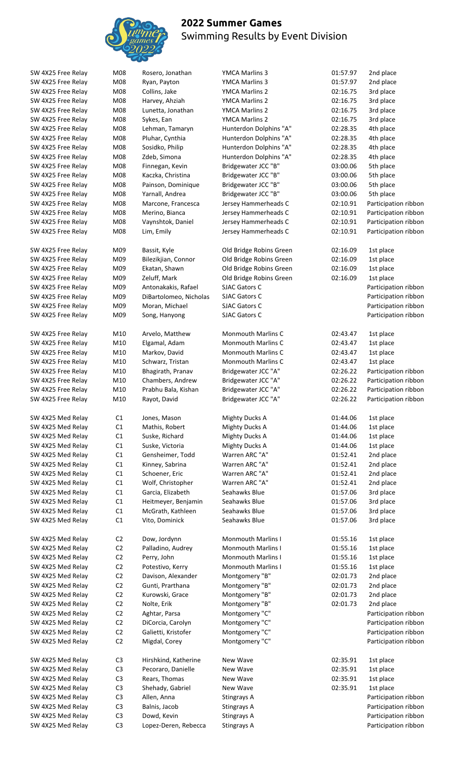

SW 4X25 Med Relay C3 Lopez-Deren, Rebecca Stingrays A Cass Contract Care Participation ribbon

| 261                    |                  |
|------------------------|------------------|
| Rosero, Jonathan       | YMCA Mai         |
| Ryan, Payton           | YMCA Ma          |
| Collins, Jake          | YMCA Mai         |
| Harvey, Ahziah         | YMCA Mai         |
| Lunetta, Jonathan      | YMCA Mai         |
| Sykes, Ean             | YMCA Ma          |
| Lehman, Tamaryn        | Hunterdor        |
| Pluhar, Cynthia        | Hunterdor        |
| Sosidko, Philip        | Hunterdor        |
| Zdeb, Simona           | Hunterdor        |
| Finnegan, Kevin        | <b>Bridgewat</b> |
| Kaczka, Christina      | <b>Bridgewat</b> |
| Painson, Dominique     | Bridgewat        |
| Yarnall, Andrea        | Bridgewat        |
| Marcone, Francesca     | Jersey Har       |
| Merino, Bianca         | Jersey Har       |
| Vaynshtok, Daniel      | Jersey Har       |
| Lim, Emily             | Jersey Har       |
| Bassit, Kyle           | Old Bridge       |
| Bilezikjian, Connor    | Old Bridge       |
| Ekatan, Shawn          | Old Bridge       |
| Zeluff, Mark           | Old Bridge       |
| Antonakakis, Rafael    | <b>SJAC Gato</b> |
| DiBartolomeo, Nicholas | <b>SJAC Gato</b> |
| Moran, Michael         | <b>SJAC Gato</b> |
| Song, Hanyong          | <b>SJAC Gato</b> |
| Arvelo, Matthew        | Monmout          |
| Elgamal, Adam          | Monmout          |
| Markov, David          | Monmout          |
| Schwarz, Tristan       | Monmout          |
| Bhagirath, Pranav      | Bridgewat        |
| Chambers, Andrew       | <b>Bridgewat</b> |
| Prabhu Bala, Kishan    | Bridgewat        |
| Rayot, David           | Bridgewat        |
| Jones, Mason           | Mighty Du        |
| Mathis, Robert         | Mighty Du        |
| Suske, Richard         | Mighty Du        |
| Suske, Victoria        | Mighty Du        |
| Gensheimer, Todd       | Warren Al        |
| Kinney, Sabrina        | Warren Al        |
| Schoener, Eric         | Warren Al        |
| Wolf, Christopher      | Warren Al        |
| Garcia, Elizabeth      | Seahawks         |
| Heitmeyer, Benjamin    | Seahawks         |
| McGrath, Kathleen      | Seahawks         |
| Vito, Dominick         | Seahawks         |
| Dow, Jordynn           | Monmout          |
| Palladino, Audrey      | Monmout          |
| Perry, John            | Monmout          |
| Potestivo, Kerry       | Monmout          |
| Davison, Alexander     | Montgom          |
| Gunti, Prarthana       | Montgom          |
| Kurowski, Grace        | Montgom          |
| Nolte, Erik            | Montgom          |
| Aghtar, Parsa          | Montgom          |
| DiCorcia, Carolyn      | Montgom          |
| Galietti, Kristofer    | Montgom          |
| Migdal, Corey          | Montgom          |
| Hirshkind, Katherine   | New Wave         |
| Pecoraro, Danielle     | New Wave         |
| Rears, Thomas          | New Wave         |
| Shehady, Gabriel       | New Wave         |
|                        |                  |

SW 4X25 Free Relay M08 Rosero, Jonathan YMCA Marlins 3 01:57.97 2nd place SW 4X25 Free Relay M08 Ryan, Payton YMCA Marlins 3 01:57.97 2nd place SW 4X25 Free Relay M08 Collins, Jake YMCA Marlins 2 02:16.75 3rd place SW 4X25 Free Relay M08 Harvey, Ahziah YMCA Marlins 2 02:16.75 3rd place SW 4X25 Free Relay M08 Lunetta, Jonathan YMCA Marlins 2 02:16.75 3rd place SW 4X25 Free Relay M08 Sykes, Ean YMCA Marlins 2 02:16.75 3rd place SW 4X25 Free Relay M08 Lehman, Tamaryn Hunterdon Dolphins "A" 02:28.35 4th place SW 4X25 Free Relay M08 Pluhar, Cynthia Hunterdon Dolphins "A" 02:28.35 4th place SW 4X25 Free Relay M08 Sosidko, Philip Hunterdon Dolphins "A" 02:28.35 4th place SW 4X25 Free Relay M08 Zdeb, Simona Hunterdon Dolphins "A" 02:28.35 4th place<br>SW 4X25 Free Relay M08 Finnegan, Kevin Bridgewater JCC "B" 03:00.06 5th place SW 4X25 Free Relay M08 Finnegan, Kevin Bridgewater JCC "B" 03:00.06 5th place SW 4X25 Free Relay M08 Kaczka, Christina Bridgewater JCC "B" 03:00.06 5th place SW 4X25 Free Relay M08 Painson, Dominique Bridgewater JCC "B" 03:00.06 5th place SW 4X25 Free Relay M08 Yarnall, Andrea Bridgewater JCC "B" 03:00.06 5th place SW 4X25 Free Relay M08 Marcone, Francesca Jersey Hammerheads C 02:10.91 Participation ribbon SW 4X25 Free Relay M08 Merino, Bianca Jersey Hammerheads C 02:10.91 Participation ribbon SW 4X25 Free Relay M08 Vaynshtok, Daniel Jersey Hammerheads C 02:10.91 Participation ribbon SW 4X25 Free Relay M08 Lim, Emily Jersey Hammerheads C 02:10.91 Participation ribbon SW 4X25 Free Relay M09 Bassit, Kyle Cold Bridge Robins Green 02:16.09 1st place SW 4X25 Free Relay M09 Bilezikjian, Connor Old Bridge Robins Green 02:16.09 1st place SW 4X25 Free Relay M09 Ekatan, Shawn Old Bridge Robins Green 02:16.09 1st place SW 4X25 Free Relay M09 Zeluff, Mark Old Bridge Robins Green 02:16.09 1st place SW 4X25 Free Relay MO9 Antonakakis, Rafael SJAC Gators C Participation ribbon Participation ribbon SW 4X25 Free Relay M09 DiBartolomeo, Nicholas SJAC Gators C Chronicle Barticipation ribbon SW 4X25 Free Relay M09 Moran, Michael SJAC Gators C STAC Participation ribbon SW 4X25 Free Relay M09 Song, Hanyong SJAC Gators C STAC States Controller and Darticipation ribbon SW 4X25 Free Relay M10 Arvelo, Matthew Monmouth Marlins C 02:43.47 1st place SW 4X25 Free Relay M10 Elgamal, Adam Monmouth Marlins C 02:43.47 1st place SW 4X25 Free Relay M10 Markov, David Monmouth Marlins C 02:43.47 1st place SW 4X25 Free Relay M10 Schwarz, Tristan Monmouth Marlins C 02:43.47 1st place SW 4X25 Free Relay M10 Bhagirath, Pranav Bridgewater JCC "A" 02:26.22 Participation ribbon SW 4X25 Free Relay M10 Chambers, Andrew Bridgewater JCC "A" 02:26.22 Participation ribbon SW 4X25 Free Relay M10 Prabhu Bala, Kishan Bridgewater JCC "A" 02:26.22 Participation ribbon SW 4X25 Free Relay M10 Rayot, David Bridgewater JCC "A" 02:26.22 Participation ribbon SW 4X25 Med Relay C1 Jones, Mason Mighty Ducks A 01:44.06 1st place SW 4X25 Med Relay C1 Mathis, Robert Mighty Ducks A 01:44.06 1st place SW 4X25 Med Relay C1 Suske, Richard Mighty Ducks A 01:44.06 1st place SW 4X25 Med Relay C1 Suske, Victoria Mighty Ducks A 01:44.06 1st place<br>SW 4X25 Med Relay C1 Gensheimer, Todd Warren ARC "A" 01:52.41 2nd place SW 4X25 Med Relay C1 Gensheimer, Todd Warren ARC "A" 01:52.41 2nd place SW 4X25 Med Relay C1 Kinney, Sabrina Warren ARC "A" 01:52.41 2nd place SW 4X25 Med Relay C1 Schoener, Eric Warren ARC "A" 01:52.41 2nd place SW 4X25 Med Relay C1 Wolf, Christopher Warren ARC "A" 01:52.41 2nd place SW 4X25 Med Relay C1 Garcia, Elizabeth Seahawks Blue 01:57.06 3rd place SW 4X25 Med Relay C1 Heitmeyer, Benjamin Seahawks Blue 01:57.06 3rd place SW 4X25 Med Relay C1 McGrath, Kathleen Seahawks Blue 01:57.06 3rd place SW 4X25 Med Relay C1 Vito, Dominick Seahawks Blue 01:57.06 3rd place SW 4X25 Med Relay C2 Dow, Jordynn Monmouth Marlins I 01:55.16 1st place SW 4X25 Med Relay C2 Palladino, Audrey Monmouth Marlins I 01:55.16 1st place SW 4X25 Med Relay C2 Perry, John Monmouth Marlins I 01:55.16 1st place SW 4X25 Med Relay C2 Potestivo, Kerry Monmouth Marlins I 01:55.16 1st place SW 4X25 Med Relay C2 Davison, Alexander Montgomery "B" 02:01.73 2nd place SW 4X25 Med Relay C2 Gunti, Prarthana Montgomery "B" 02:01.73 2nd place SW 4X25 Med Relay C2 Kurowski, Grace Montgomery "B" 02:01.73 2nd place SW 4X25 Med Relay C2 Nolte, Erik Montgomery "B" 02:01.73 2nd place SW 4X25 Med Relay C2 Aghtar, Parsa Montgomery "C" SW 4X25 Med Relay C2 Aghtar, Parsa Montgomery "C" Participation ribbon<br>SW 4X25 Med Relay C2 DiCorcia, Carolyn Montgomery "C" STAND Participation ribbon SW 4X25 Med Relay C2 DiCorcia, Carolyn Montgomery "C" Participation ribbon SW 4X25 Med Relay C2 Galietti, Kristofer Montgomery "C" Participation ribbon SW 4X25 Med Relay C2 Migdal, Corey Montgomery "C" North Cass of Participation ribbon SW 4X25 Med Relay C3 Hirshkind, Katherine New Wave 02:35.91 1st place SW 4X25 Med Relay C3 Pecoraro, Danielle New Wave C2:35.91 1st place SW 4X25 Med Relay C3 Rears, Thomas New Wave C2:35.91 1st place SW 4X25 Med Relay C3 Shehady, Gabriel New Wave C2:35.91 1st place SW 4X25 Med Relay C3 Allen, Anna Stingrays A Cases and Darticipation ribbon

SW 4X25 Med Relay C3 Balnis, Jacob Stingrays A Casset Canada Raticipation ribbon SW 4X25 Med Relay C3 Dowd, Kevin Stingrays A Cases Care Raticipation ribbon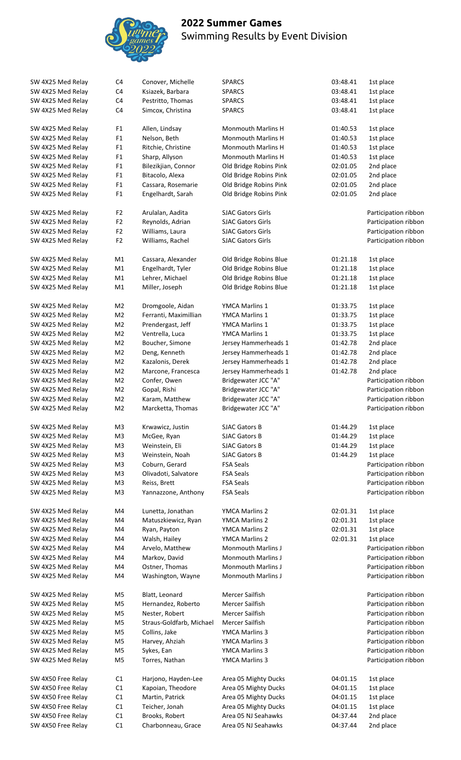

| SW 4X25 Med Relay  | C4             | Conover, Michelle        | <b>SPARCS</b>             | 03:48.41 | 1st place            |
|--------------------|----------------|--------------------------|---------------------------|----------|----------------------|
| SW 4X25 Med Relay  | C4             | Ksiazek, Barbara         | <b>SPARCS</b>             | 03:48.41 | 1st place            |
| SW 4X25 Med Relay  | C4             | Pestritto, Thomas        | <b>SPARCS</b>             | 03:48.41 | 1st place            |
| SW 4X25 Med Relay  | C4             | Simcox, Christina        | <b>SPARCS</b>             | 03:48.41 | 1st place            |
|                    |                |                          |                           |          |                      |
|                    |                |                          |                           |          |                      |
| SW 4X25 Med Relay  | F <sub>1</sub> | Allen, Lindsay           | <b>Monmouth Marlins H</b> | 01:40.53 | 1st place            |
| SW 4X25 Med Relay  | ${\sf F1}$     | Nelson, Beth             | <b>Monmouth Marlins H</b> | 01:40.53 | 1st place            |
| SW 4X25 Med Relay  | F <sub>1</sub> | Ritchie, Christine       | <b>Monmouth Marlins H</b> | 01:40.53 | 1st place            |
|                    |                |                          | <b>Monmouth Marlins H</b> |          |                      |
| SW 4X25 Med Relay  | F <sub>1</sub> | Sharp, Allyson           |                           | 01:40.53 | 1st place            |
| SW 4X25 Med Relay  | F <sub>1</sub> | Bilezikjian, Connor      | Old Bridge Robins Pink    | 02:01.05 | 2nd place            |
| SW 4X25 Med Relay  | ${\sf F1}$     | Bitacolo, Alexa          | Old Bridge Robins Pink    | 02:01.05 | 2nd place            |
| SW 4X25 Med Relay  | ${\sf F1}$     | Cassara, Rosemarie       | Old Bridge Robins Pink    | 02:01.05 | 2nd place            |
|                    |                |                          |                           |          |                      |
| SW 4X25 Med Relay  | F <sub>1</sub> | Engelhardt, Sarah        | Old Bridge Robins Pink    | 02:01.05 | 2nd place            |
|                    |                |                          |                           |          |                      |
| SW 4X25 Med Relay  | F <sub>2</sub> | Arulalan, Aadita         | <b>SJAC Gators Girls</b>  |          | Participation ribbon |
| SW 4X25 Med Relay  | F <sub>2</sub> | Reynolds, Adrian         | <b>SJAC Gators Girls</b>  |          | Participation ribbon |
| SW 4X25 Med Relay  | F <sub>2</sub> | Williams, Laura          | <b>SJAC Gators Girls</b>  |          | Participation ribbon |
|                    |                |                          |                           |          |                      |
| SW 4X25 Med Relay  | F <sub>2</sub> | Williams, Rachel         | <b>SJAC Gators Girls</b>  |          | Participation ribbon |
|                    |                |                          |                           |          |                      |
| SW 4X25 Med Relay  | M1             | Cassara, Alexander       | Old Bridge Robins Blue    | 01:21.18 | 1st place            |
| SW 4X25 Med Relay  | M1             | Engelhardt, Tyler        | Old Bridge Robins Blue    | 01:21.18 | 1st place            |
|                    |                |                          |                           |          |                      |
| SW 4X25 Med Relay  | M1             | Lehrer, Michael          | Old Bridge Robins Blue    | 01:21.18 | 1st place            |
| SW 4X25 Med Relay  | M1             | Miller, Joseph           | Old Bridge Robins Blue    | 01:21.18 | 1st place            |
|                    |                |                          |                           |          |                      |
| SW 4X25 Med Relay  | M <sub>2</sub> | Dromgoole, Aidan         | <b>YMCA Marlins 1</b>     | 01:33.75 | 1st place            |
| SW 4X25 Med Relay  | M <sub>2</sub> | Ferranti, Maximillian    | <b>YMCA Marlins 1</b>     | 01:33.75 | 1st place            |
|                    |                |                          |                           |          |                      |
| SW 4X25 Med Relay  | M <sub>2</sub> | Prendergast, Jeff        | YMCA Marlins 1            | 01:33.75 | 1st place            |
| SW 4X25 Med Relay  | M <sub>2</sub> | Ventrella, Luca          | <b>YMCA Marlins 1</b>     | 01:33.75 | 1st place            |
| SW 4X25 Med Relay  | M <sub>2</sub> | Boucher, Simone          | Jersey Hammerheads 1      | 01:42.78 | 2nd place            |
| SW 4X25 Med Relay  | M <sub>2</sub> | Deng, Kenneth            | Jersey Hammerheads 1      | 01:42.78 | 2nd place            |
|                    |                |                          |                           |          |                      |
| SW 4X25 Med Relay  | M <sub>2</sub> | Kazalonis, Derek         | Jersey Hammerheads 1      | 01:42.78 | 2nd place            |
| SW 4X25 Med Relay  | M2             | Marcone, Francesca       | Jersey Hammerheads 1      | 01:42.78 | 2nd place            |
| SW 4X25 Med Relay  | M <sub>2</sub> | Confer, Owen             | Bridgewater JCC "A"       |          | Participation ribbon |
| SW 4X25 Med Relay  | M <sub>2</sub> | Gopal, Rishi             | Bridgewater JCC "A"       |          | Participation ribbon |
|                    |                |                          |                           |          |                      |
| SW 4X25 Med Relay  | M <sub>2</sub> | Karam, Matthew           | Bridgewater JCC "A"       |          | Participation ribbon |
| SW 4X25 Med Relay  | M <sub>2</sub> | Marcketta, Thomas        | Bridgewater JCC "A"       |          | Participation ribbon |
|                    |                |                          |                           |          |                      |
| SW 4X25 Med Relay  | M3             | Krwawicz, Justin         | <b>SJAC Gators B</b>      | 01:44.29 | 1st place            |
| SW 4X25 Med Relay  | M <sub>3</sub> |                          | <b>SJAC Gators B</b>      | 01:44.29 | 1st place            |
|                    |                | McGee, Ryan              |                           |          |                      |
| SW 4X25 Med Relay  | M3             | Weinstein, Eli           | <b>SJAC Gators B</b>      | 01:44.29 | 1st place            |
| SW 4X25 Med Relay  |                | Weinstein, Noah          | <b>SJAC Gators B</b>      | 01:44.29 | 1st place            |
|                    | M3             |                          | <b>FSA Seals</b>          |          | Participation ribbon |
|                    |                |                          |                           |          |                      |
| SW 4X25 Med Relay  | M3             | Coburn, Gerard           |                           |          |                      |
| SW 4X25 Med Relay  | M <sub>3</sub> | Olivadoti, Salvatore     | <b>FSA Seals</b>          |          | Participation ribbon |
| SW 4X25 Med Relay  | M3             | Reiss, Brett             | <b>FSA Seals</b>          |          | Participation ribbon |
| SW 4X25 Med Relay  | M3             | Yannazzone, Anthony      | <b>FSA Seals</b>          |          | Participation ribbon |
|                    |                |                          |                           |          |                      |
|                    |                |                          |                           |          |                      |
| SW 4X25 Med Relay  | M4             | Lunetta, Jonathan        | YMCA Marlins 2            | 02:01.31 | 1st place            |
| SW 4X25 Med Relay  | M4             | Matuszkiewicz, Ryan      | YMCA Marlins 2            | 02:01.31 | 1st place            |
| SW 4X25 Med Relay  | M4             | Ryan, Payton             | YMCA Marlins 2            | 02:01.31 | 1st place            |
| SW 4X25 Med Relay  | M4             | Walsh, Hailey            | <b>YMCA Marlins 2</b>     | 02:01.31 | 1st place            |
|                    |                |                          | <b>Monmouth Marlins J</b> |          |                      |
| SW 4X25 Med Relay  | M4             | Arvelo, Matthew          |                           |          | Participation ribbon |
| SW 4X25 Med Relay  | M4             | Markov, David            | <b>Monmouth Marlins J</b> |          | Participation ribbon |
| SW 4X25 Med Relay  | M4             | Ostner, Thomas           | <b>Monmouth Marlins J</b> |          | Participation ribbon |
| SW 4X25 Med Relay  | M4             | Washington, Wayne        | Monmouth Marlins J        |          | Participation ribbon |
|                    |                |                          |                           |          |                      |
|                    |                |                          |                           |          |                      |
| SW 4X25 Med Relay  | M5             | Blatt, Leonard           | Mercer Sailfish           |          | Participation ribbon |
| SW 4X25 Med Relay  | M <sub>5</sub> | Hernandez, Roberto       | Mercer Sailfish           |          | Participation ribbon |
| SW 4X25 Med Relay  | M5             | Nester, Robert           | Mercer Sailfish           |          | Participation ribbon |
| SW 4X25 Med Relay  | M <sub>5</sub> | Straus-Goldfarb, Michael | Mercer Sailfish           |          | Participation ribbon |
| SW 4X25 Med Relay  | M5             | Collins, Jake            | YMCA Marlins 3            |          |                      |
|                    |                |                          |                           |          | Participation ribbon |
| SW 4X25 Med Relay  | M5             | Harvey, Ahziah           | YMCA Marlins 3            |          | Participation ribbon |
| SW 4X25 Med Relay  | M5             | Sykes, Ean               | YMCA Marlins 3            |          | Participation ribbon |
| SW 4X25 Med Relay  | M <sub>5</sub> | Torres, Nathan           | YMCA Marlins 3            |          | Participation ribbon |
|                    |                |                          |                           |          |                      |
|                    | C1             |                          |                           | 04:01.15 |                      |
| SW 4X50 Free Relay |                | Harjono, Hayden-Lee      | Area 05 Mighty Ducks      |          | 1st place            |
| SW 4X50 Free Relay | C1             | Kapoian, Theodore        | Area 05 Mighty Ducks      | 04:01.15 | 1st place            |
| SW 4X50 Free Relay | C1             | Martin, Patrick          | Area 05 Mighty Ducks      | 04:01.15 | 1st place            |
| SW 4X50 Free Relay | C1             | Teicher, Jonah           | Area 05 Mighty Ducks      | 04:01.15 | 1st place            |
| SW 4X50 Free Relay | C1             | Brooks, Robert           | Area 05 NJ Seahawks       | 04:37.44 | 2nd place            |
| SW 4X50 Free Relay | C1             | Charbonneau, Grace       | Area 05 NJ Seahawks       | 04:37.44 | 2nd place            |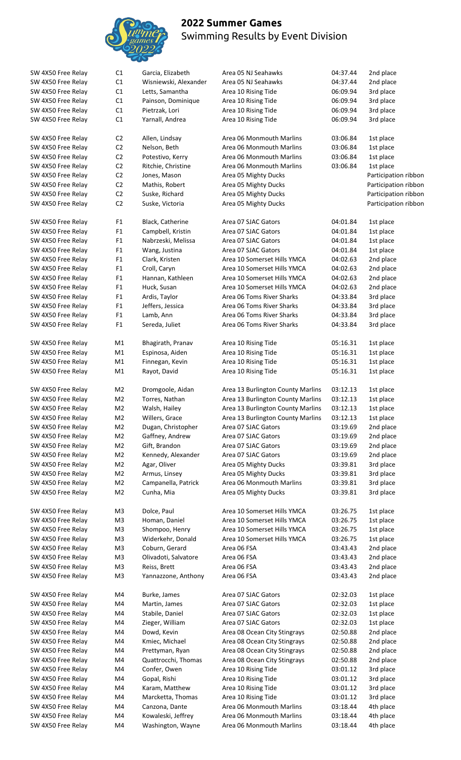

| SW 4X50 Free Relay | C <sub>1</sub> | Garcia, Elizabeth     | Area 05 NJ Seahawks               | 04:37.44 | 2nd place            |
|--------------------|----------------|-----------------------|-----------------------------------|----------|----------------------|
| SW 4X50 Free Relay | C1             | Wisniewski, Alexander | Area 05 NJ Seahawks               | 04:37.44 | 2nd place            |
| SW 4X50 Free Relay | C1             | Letts, Samantha       | Area 10 Rising Tide               | 06:09.94 | 3rd place            |
| SW 4X50 Free Relay | C1             | Painson, Dominique    | Area 10 Rising Tide               | 06:09.94 | 3rd place            |
| SW 4X50 Free Relay | C1             | Pietrzak, Lori        | Area 10 Rising Tide               | 06:09.94 | 3rd place            |
| SW 4X50 Free Relay | C1             | Yarnall, Andrea       | Area 10 Rising Tide               | 06:09.94 | 3rd place            |
|                    |                |                       |                                   |          |                      |
| SW 4X50 Free Relay | C <sub>2</sub> | Allen, Lindsay        | Area 06 Monmouth Marlins          | 03:06.84 | 1st place            |
| SW 4X50 Free Relay | C <sub>2</sub> | Nelson, Beth          | Area 06 Monmouth Marlins          | 03:06.84 | 1st place            |
| SW 4X50 Free Relay | C <sub>2</sub> | Potestivo, Kerry      | Area 06 Monmouth Marlins          | 03:06.84 | 1st place            |
| SW 4X50 Free Relay | C2             | Ritchie, Christine    | Area 06 Monmouth Marlins          | 03:06.84 | 1st place            |
| SW 4X50 Free Relay | C2             | Jones, Mason          | Area 05 Mighty Ducks              |          | Participation ribbor |
| SW 4X50 Free Relay | C2             | Mathis, Robert        | Area 05 Mighty Ducks              |          | Participation ribbor |
| SW 4X50 Free Relay | C2             | Suske, Richard        | Area 05 Mighty Ducks              |          | Participation ribbor |
| SW 4X50 Free Relay | C <sub>2</sub> | Suske, Victoria       | Area 05 Mighty Ducks              |          | Participation ribbor |
|                    |                |                       |                                   |          |                      |
| SW 4X50 Free Relay | F <sub>1</sub> | Black, Catherine      | Area 07 SJAC Gators               | 04:01.84 | 1st place            |
| SW 4X50 Free Relay | F <sub>1</sub> | Campbell, Kristin     | Area 07 SJAC Gators               | 04:01.84 | 1st place            |
| SW 4X50 Free Relay | F <sub>1</sub> | Nabrzeski, Melissa    | Area 07 SJAC Gators               | 04:01.84 | 1st place            |
| SW 4X50 Free Relay | F <sub>1</sub> | Wang, Justina         | Area 07 SJAC Gators               | 04:01.84 | 1st place            |
| SW 4X50 Free Relay | F <sub>1</sub> | Clark, Kristen        | Area 10 Somerset Hills YMCA       | 04:02.63 | 2nd place            |
| SW 4X50 Free Relay | F <sub>1</sub> | Croll, Caryn          | Area 10 Somerset Hills YMCA       | 04:02.63 | 2nd place            |
|                    | F <sub>1</sub> |                       | Area 10 Somerset Hills YMCA       |          |                      |
| SW 4X50 Free Relay |                | Hannan, Kathleen      |                                   | 04:02.63 | 2nd place            |
| SW 4X50 Free Relay | F <sub>1</sub> | Huck, Susan           | Area 10 Somerset Hills YMCA       | 04:02.63 | 2nd place            |
| SW 4X50 Free Relay | F <sub>1</sub> | Ardis, Taylor         | Area 06 Toms River Sharks         | 04:33.84 | 3rd place            |
| SW 4X50 Free Relay | F <sub>1</sub> | Jeffers, Jessica      | Area 06 Toms River Sharks         | 04:33.84 | 3rd place            |
| SW 4X50 Free Relay | F <sub>1</sub> | Lamb, Ann             | Area 06 Toms River Sharks         | 04:33.84 | 3rd place            |
| SW 4X50 Free Relay | F <sub>1</sub> | Sereda, Juliet        | Area 06 Toms River Sharks         | 04:33.84 | 3rd place            |
|                    |                |                       |                                   |          |                      |
| SW 4X50 Free Relay | M1             | Bhagirath, Pranav     | Area 10 Rising Tide               | 05:16.31 | 1st place            |
| SW 4X50 Free Relay | M1             | Espinosa, Aiden       | Area 10 Rising Tide               | 05:16.31 | 1st place            |
| SW 4X50 Free Relay | M1             | Finnegan, Kevin       | Area 10 Rising Tide               | 05:16.31 | 1st place            |
| SW 4X50 Free Relay | M1             | Rayot, David          | Area 10 Rising Tide               | 05:16.31 | 1st place            |
| SW 4X50 Free Relay | M2             | Dromgoole, Aidan      | Area 13 Burlington County Marlins | 03:12.13 | 1st place            |
| SW 4X50 Free Relay | M <sub>2</sub> | Torres, Nathan        | Area 13 Burlington County Marlins | 03:12.13 | 1st place            |
|                    | M <sub>2</sub> |                       |                                   |          |                      |
| SW 4X50 Free Relay |                | Walsh, Hailey         | Area 13 Burlington County Marlins | 03:12.13 | 1st place            |
| SW 4X50 Free Relay | M <sub>2</sub> | Willers, Grace        | Area 13 Burlington County Marlins | 03:12.13 | 1st place            |
| SW 4X50 Free Relay | M <sub>2</sub> | Dugan, Christopher    | Area 07 SJAC Gators               | 03:19.69 | 2nd place            |
| SW 4X50 Free Relay | M <sub>2</sub> | Gaffney, Andrew       | Area 07 SJAC Gators               | 03:19.69 | 2nd place            |
| SW 4X50 Free Relay | M <sub>2</sub> | Gift, Brandon         | Area 07 SJAC Gators               | 03:19.69 | 2nd place            |
| SW 4X50 Free Relay | M <sub>2</sub> | Kennedy, Alexander    | Area 07 SJAC Gators               | 03:19.69 | 2nd place            |
| SW 4X50 Free Relay | M <sub>2</sub> | Agar, Oliver          | Area 05 Mighty Ducks              | 03:39.81 | 3rd place            |
| SW 4X50 Free Relay | M <sub>2</sub> | Armus, Linsey         | Area 05 Mighty Ducks              | 03:39.81 | 3rd place            |
| SW 4X50 Free Relay | M <sub>2</sub> | Campanella, Patrick   | Area 06 Monmouth Marlins          | 03:39.81 | 3rd place            |
| SW 4X50 Free Relay | M <sub>2</sub> | Cunha, Mia            | Area 05 Mighty Ducks              | 03:39.81 | 3rd place            |
|                    |                |                       |                                   |          |                      |
| SW 4X50 Free Relay | M3             | Dolce, Paul           | Area 10 Somerset Hills YMCA       | 03:26.75 | 1st place            |
| SW 4X50 Free Relay | M <sub>3</sub> | Homan, Daniel         | Area 10 Somerset Hills YMCA       | 03:26.75 | 1st place            |
| SW 4X50 Free Relay | M <sub>3</sub> | Shompoo, Henry        | Area 10 Somerset Hills YMCA       | 03:26.75 | 1st place            |
| SW 4X50 Free Relay | M <sub>3</sub> | Widerkehr, Donald     | Area 10 Somerset Hills YMCA       | 03:26.75 | 1st place            |
| SW 4X50 Free Relay | M <sub>3</sub> | Coburn, Gerard        | Area 06 FSA                       | 03:43.43 | 2nd place            |
| SW 4X50 Free Relay | M <sub>3</sub> | Olivadoti, Salvatore  | Area 06 FSA                       | 03:43.43 | 2nd place            |
| SW 4X50 Free Relay | M <sub>3</sub> | Reiss, Brett          | Area 06 FSA                       | 03:43.43 | 2nd place            |
| SW 4X50 Free Relay | M <sub>3</sub> | Yannazzone, Anthony   | Area 06 FSA                       | 03:43.43 | 2nd place            |
|                    |                |                       |                                   |          |                      |
| SW 4X50 Free Relay | M4             | Burke, James          | Area 07 SJAC Gators               | 02:32.03 | 1st place            |
| SW 4X50 Free Relay | M4             | Martin, James         | Area 07 SJAC Gators               | 02:32.03 | 1st place            |
| SW 4X50 Free Relay | M4             | Stabile, Daniel       | Area 07 SJAC Gators               | 02:32.03 | 1st place            |
| SW 4X50 Free Relay | M4             | Zieger, William       | Area 07 SJAC Gators               | 02:32.03 | 1st place            |
| SW 4X50 Free Relay | M4             | Dowd, Kevin           | Area 08 Ocean City Stingrays      | 02:50.88 | 2nd place            |
| SW 4X50 Free Relay | M4             | Kmiec, Michael        | Area 08 Ocean City Stingrays      | 02:50.88 | 2nd place            |
| SW 4X50 Free Relay | M4             | Prettyman, Ryan       | Area 08 Ocean City Stingrays      | 02:50.88 | 2nd place            |
| SW 4X50 Free Relay | M4             | Quattrocchi, Thomas   | Area 08 Ocean City Stingrays      | 02:50.88 | 2nd place            |
| SW 4X50 Free Relay | M4             | Confer, Owen          | Area 10 Rising Tide               | 03:01.12 | 3rd place            |
| SW 4X50 Free Relay | M4             | Gopal, Rishi          | Area 10 Rising Tide               | 03:01.12 | 3rd place            |
| SW 4X50 Free Relay | M4             | Karam, Matthew        | Area 10 Rising Tide               | 03:01.12 | 3rd place            |
| SW 4X50 Free Relay | M4             | Marcketta, Thomas     | Area 10 Rising Tide               | 03:01.12 | 3rd place            |
| SW 4X50 Free Relay | M4             | Canzona, Dante        | Area 06 Monmouth Marlins          | 03:18.44 | 4th place            |
| SW 4X50 Free Relay | M4             | Kowaleski, Jeffrey    | Area 06 Monmouth Marlins          | 03:18.44 | 4th place            |
| SW 4X50 Free Relay | M4             | Washington, Wayne     | Area 06 Monmouth Marlins          | 03:18.44 | 4th place            |
|                    |                |                       |                                   |          |                      |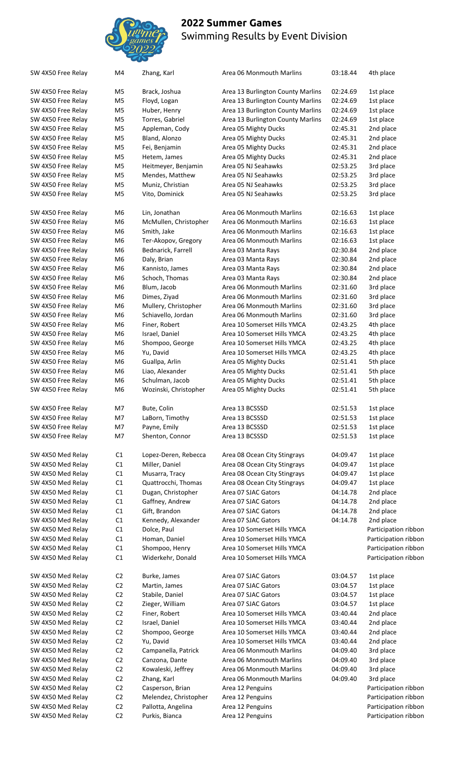

| SW 4X50 Free Relay                     |  |
|----------------------------------------|--|
| SW 4X50 Free Relay                     |  |
| SW 4X50 Free Relay                     |  |
| SW 4X50 Free Relay                     |  |
| SW 4X50 Free Relay                     |  |
| SW 4X50 Free Relay                     |  |
| SW 4X50 Free Relay                     |  |
| SW 4X50 Free Relay                     |  |
| SW 4X50 Free Relay                     |  |
| SW 4X50 Free Relay                     |  |
| SW 4X50 Free Relay                     |  |
|                                        |  |
| SW 4X50 Free Relay                     |  |
| SW 4X50 Free Relay                     |  |
| SW 4X50 Free Relay                     |  |
| SW 4X50 Free Relay                     |  |
| SW 4X50 Free Relay                     |  |
| SW 4X50 Free Relay                     |  |
| SW 4X50 Free Relay                     |  |
| SW 4X50 Free Relay                     |  |
| SW 4X50 Free Relay                     |  |
| SW 4X50 Free Relay                     |  |
| SW 4X50 Free Relay                     |  |
| SW 4X50 Free Relay                     |  |
| SW 4X50 Free Relay                     |  |
| SW 4X50 Free Relay                     |  |
| SW 4X50 Free Relay                     |  |
| SW 4X50 Free Relay                     |  |
| SW 4X50 Free                           |  |
| Relay<br>SW 4X50 Free                  |  |
| Relay<br>SW 4X50 Free                  |  |
| Relay                                  |  |
| SW 4X50 Free Relay                     |  |
| SW 4X50 Free Relay                     |  |
| SW 4X50 Free Relay                     |  |
| SW 4X50 Free Relay                     |  |
| SW 4X50 Free Relay                     |  |
| SW 4X50 Free Relay                     |  |
|                                        |  |
|                                        |  |
| SW 4X50 Med Relay                      |  |
|                                        |  |
| SW 4X50 Med Relay                      |  |
| SW 4X50 Med Relay<br>SW 4X50 Med Relay |  |
|                                        |  |
| SW 4X50 Med Relay                      |  |
| SW 4X50 Med Relay<br>SW 4X50 Med Relay |  |
|                                        |  |
| SW 4X50 Med Relay                      |  |
| SW 4X50 Med Relay                      |  |
| SW 4X50 Med Relay                      |  |
| SW 4X50 Med Relay<br>SW 4X50 Med Relay |  |
|                                        |  |
| SW 4X50 Med Relay                      |  |
| SW 4X50 Med Relay                      |  |
| SW 4X50 Med Relay                      |  |
| SW 4X50 Med Relay                      |  |
| SW 4X50 Med Relay                      |  |
| SW 4X50 Med Relay                      |  |
| SW 4X50 Med Relay                      |  |
| SW 4X50 Med Relay                      |  |
| SW 4X50 Med Relay                      |  |
| SW 4X50 Med Relay                      |  |
| SW 4X50 Med Relay                      |  |
| SW 4X50 Med Relay                      |  |
| SW 4X50 Med Relay                      |  |
| SW 4X50 Med Relay                      |  |

| SW 4X50 Free Relay | M4             | Zhang, Karl           | Area 06 Monmouth Marlins          | 03:18.44 | 4th place            |
|--------------------|----------------|-----------------------|-----------------------------------|----------|----------------------|
| SW 4X50 Free Relay | M5             | Brack, Joshua         | Area 13 Burlington County Marlins | 02:24.69 | 1st place            |
| SW 4X50 Free Relay | M5             | Floyd, Logan          | Area 13 Burlington County Marlins | 02:24.69 | 1st place            |
| SW 4X50 Free Relay | M <sub>5</sub> | Huber, Henry          | Area 13 Burlington County Marlins | 02:24.69 | 1st place            |
| SW 4X50 Free Relay | M5             | Torres, Gabriel       | Area 13 Burlington County Marlins | 02:24.69 | 1st place            |
| SW 4X50 Free Relay | M <sub>5</sub> | Appleman, Cody        | Area 05 Mighty Ducks              | 02:45.31 | 2nd place            |
| SW 4X50 Free Relay | M <sub>5</sub> | Bland, Alonzo         | Area 05 Mighty Ducks              | 02:45.31 | 2nd place            |
| SW 4X50 Free Relay | M <sub>5</sub> | Fei, Benjamin         | Area 05 Mighty Ducks              | 02:45.31 | 2nd place            |
| SW 4X50 Free Relay | M <sub>5</sub> | Hetem, James          | Area 05 Mighty Ducks              | 02:45.31 | 2nd place            |
| SW 4X50 Free Relay | M <sub>5</sub> | Heitmeyer, Benjamin   | Area 05 NJ Seahawks               | 02:53.25 | 3rd place            |
|                    | M <sub>5</sub> |                       | Area 05 NJ Seahawks               | 02:53.25 |                      |
| SW 4X50 Free Relay |                | Mendes, Matthew       |                                   |          | 3rd place            |
| SW 4X50 Free Relay | M <sub>5</sub> | Muniz, Christian      | Area 05 NJ Seahawks               | 02:53.25 | 3rd place            |
| SW 4X50 Free Relay | M5             | Vito, Dominick        | Area 05 NJ Seahawks               | 02:53.25 | 3rd place            |
| SW 4X50 Free Relay | M <sub>6</sub> | Lin, Jonathan         | Area 06 Monmouth Marlins          | 02:16.63 | 1st place            |
| SW 4X50 Free Relay | M <sub>6</sub> | McMullen, Christopher | Area 06 Monmouth Marlins          | 02:16.63 | 1st place            |
| SW 4X50 Free Relay | M6             | Smith, Jake           | Area 06 Monmouth Marlins          | 02:16.63 | 1st place            |
| SW 4X50 Free Relay | M6             | Ter-Akopov, Gregory   | Area 06 Monmouth Marlins          | 02:16.63 | 1st place            |
| SW 4X50 Free Relay | M6             | Bednarick, Farrell    | Area 03 Manta Rays                | 02:30.84 | 2nd place            |
| SW 4X50 Free Relay | M6             | Daly, Brian           | Area 03 Manta Rays                | 02:30.84 | 2nd place            |
| SW 4X50 Free Relay | M6             | Kannisto, James       | Area 03 Manta Rays                | 02:30.84 | 2nd place            |
|                    |                |                       |                                   |          |                      |
| SW 4X50 Free Relay | M6             | Schoch, Thomas        | Area 03 Manta Rays                | 02:30.84 | 2nd place            |
| SW 4X50 Free Relay | M6             | Blum, Jacob           | Area 06 Monmouth Marlins          | 02:31.60 | 3rd place            |
| SW 4X50 Free Relay | M6             | Dimes, Ziyad          | Area 06 Monmouth Marlins          | 02:31.60 | 3rd place            |
| SW 4X50 Free Relay | M <sub>6</sub> | Mullery, Christopher  | Area 06 Monmouth Marlins          | 02:31.60 | 3rd place            |
| SW 4X50 Free Relay | M6             | Schiavello, Jordan    | Area 06 Monmouth Marlins          | 02:31.60 | 3rd place            |
| SW 4X50 Free Relay | M6             | Finer, Robert         | Area 10 Somerset Hills YMCA       | 02:43.25 | 4th place            |
| SW 4X50 Free Relay | M6             | Israel, Daniel        | Area 10 Somerset Hills YMCA       | 02:43.25 | 4th place            |
| SW 4X50 Free Relay | M6             | Shompoo, George       | Area 10 Somerset Hills YMCA       | 02:43.25 | 4th place            |
| SW 4X50 Free Relay | M6             | Yu, David             | Area 10 Somerset Hills YMCA       | 02:43.25 | 4th place            |
| SW 4X50 Free Relay | M6             | Guallpa, Arlin        | Area 05 Mighty Ducks              | 02:51.41 | 5th place            |
| SW 4X50 Free Relay | M <sub>6</sub> | Liao, Alexander       | Area 05 Mighty Ducks              | 02:51.41 | 5th place            |
| SW 4X50 Free Relay | M <sub>6</sub> | Schulman, Jacob       | Area 05 Mighty Ducks              | 02:51.41 | 5th place            |
| SW 4X50 Free Relay | M6             | Wozinski, Christopher |                                   | 02:51.41 | 5th place            |
|                    |                |                       | Area 05 Mighty Ducks              |          |                      |
| SW 4X50 Free Relay | M7             | Bute, Colin           | Area 13 BCSSSD                    | 02:51.53 | 1st place            |
| SW 4X50 Free Relay | M7             | LaBorn, Timothy       | Area 13 BCSSSD                    | 02:51.53 | 1st place            |
|                    |                |                       |                                   |          |                      |
| SW 4X50 Free Relay | M7             | Payne, Emily          | Area 13 BCSSSD                    | 02:51.53 | 1st place            |
| SW 4X50 Free Relay | M7             | Shenton, Connor       | Area 13 BCSSSD                    | 02:51.53 | 1st place            |
| SW 4X50 Med Relay  | C1             | Lopez-Deren, Rebecca  | Area 08 Ocean City Stingrays      | 04:09.47 | 1st place            |
| SW 4X50 Med Relay  | C1             | Miller, Daniel        | Area 08 Ocean City Stingrays      | 04:09.47 | 1st place            |
| SW 4X50 Med Relay  | C1             | Musarra, Tracy        | Area 08 Ocean City Stingrays      | 04:09.47 | 1st place            |
| SW 4X50 Med Relay  | C1             | Quattrocchi, Thomas   | Area 08 Ocean City Stingrays      | 04:09.47 | 1st place            |
| SW 4X50 Med Relay  | C1             | Dugan, Christopher    | Area 07 SJAC Gators               | 04:14.78 | 2nd place            |
| SW 4X50 Med Relay  | C1             | Gaffney, Andrew       | Area 07 SJAC Gators               | 04:14.78 | 2nd place            |
| SW 4X50 Med Relay  | C1             | Gift, Brandon         | Area 07 SJAC Gators               | 04:14.78 | 2nd place            |
| SW 4X50 Med Relay  | C1             | Kennedy, Alexander    | Area 07 SJAC Gators               | 04:14.78 |                      |
|                    | C1             |                       | Area 10 Somerset Hills YMCA       |          | 2nd place            |
| SW 4X50 Med Relay  |                | Dolce, Paul           |                                   |          | Participation ribbon |
| SW 4X50 Med Relay  | C1             | Homan, Daniel         | Area 10 Somerset Hills YMCA       |          | Participation ribbon |
| SW 4X50 Med Relay  | C1             | Shompoo, Henry        | Area 10 Somerset Hills YMCA       |          | Participation ribbon |
| SW 4X50 Med Relay  | C1             | Widerkehr, Donald     | Area 10 Somerset Hills YMCA       |          | Participation ribbon |
| SW 4X50 Med Relay  | C <sub>2</sub> | Burke, James          | Area 07 SJAC Gators               | 03:04.57 | 1st place            |
| SW 4X50 Med Relay  | C <sub>2</sub> | Martin, James         | Area 07 SJAC Gators               | 03:04.57 | 1st place            |
| SW 4X50 Med Relay  | C <sub>2</sub> | Stabile, Daniel       | Area 07 SJAC Gators               | 03:04.57 | 1st place            |
| SW 4X50 Med Relay  | C <sub>2</sub> | Zieger, William       | Area 07 SJAC Gators               | 03:04.57 | 1st place            |
| SW 4X50 Med Relay  | C2             | Finer, Robert         | Area 10 Somerset Hills YMCA       | 03:40.44 |                      |
|                    | C <sub>2</sub> |                       | Area 10 Somerset Hills YMCA       | 03:40.44 | 2nd place            |
| SW 4X50 Med Relay  |                | Israel, Daniel        |                                   |          | 2nd place            |
| SW 4X50 Med Relay  | C2             | Shompoo, George       | Area 10 Somerset Hills YMCA       | 03:40.44 | 2nd place            |
| SW 4X50 Med Relay  | C2             | Yu, David             | Area 10 Somerset Hills YMCA       | 03:40.44 | 2nd place            |
| SW 4X50 Med Relay  | C2             | Campanella, Patrick   | Area 06 Monmouth Marlins          | 04:09.40 | 3rd place            |
| SW 4X50 Med Relay  | C <sub>2</sub> | Canzona, Dante        | Area 06 Monmouth Marlins          | 04:09.40 | 3rd place            |
| SW 4X50 Med Relay  | C <sub>2</sub> | Kowaleski, Jeffrey    | Area 06 Monmouth Marlins          | 04:09.40 | 3rd place            |
| SW 4X50 Med Relay  | C <sub>2</sub> | Zhang, Karl           | Area 06 Monmouth Marlins          | 04:09.40 | 3rd place            |
| SW 4X50 Med Relay  | C <sub>2</sub> | Casperson, Brian      | Area 12 Penguins                  |          | Participation ribbon |
| SW 4X50 Med Relay  | C <sub>2</sub> | Melendez, Christopher | Area 12 Penguins                  |          | Participation ribbon |
| SW 4X50 Med Relay  | C <sub>2</sub> | Pallotta, Angelina    | Area 12 Penguins                  |          | Participation ribbon |
| SW 4X50 Med Relay  | C <sub>2</sub> | Purkis, Bianca        | Area 12 Penguins                  |          | Participation ribbon |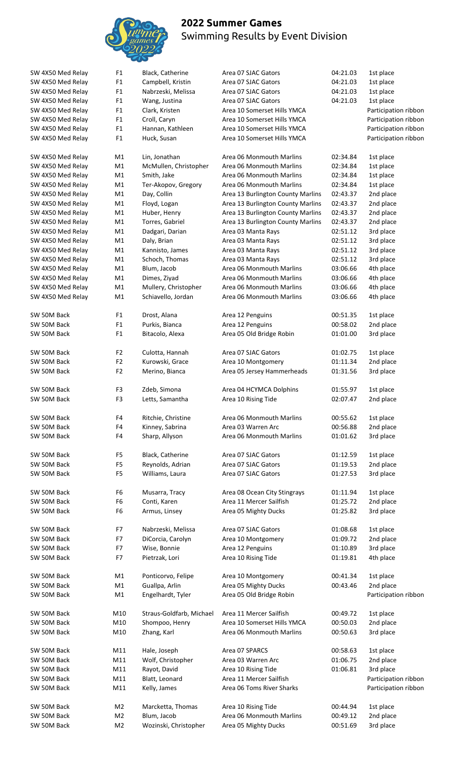

Participation ribbon Participation ribbon Participation ribbon Participation ribbon

Participation ribbon

Participation ribbon Participation ribbon

| SW 4X50 Med Relay | F <sub>1</sub> | Black, Catherine         | Area 07 SJAC Gators               | 04:21.03 | 1st place   |
|-------------------|----------------|--------------------------|-----------------------------------|----------|-------------|
| SW 4X50 Med Relay | ${\sf F1}$     | Campbell, Kristin        | Area 07 SJAC Gators               | 04:21.03 | 1st place   |
| SW 4X50 Med Relay | F1             | Nabrzeski, Melissa       | Area 07 SJAC Gators               | 04:21.03 | 1st place   |
| SW 4X50 Med Relay | F <sub>1</sub> | Wang, Justina            | Area 07 SJAC Gators               | 04:21.03 | 1st place   |
| SW 4X50 Med Relay | F1             | Clark, Kristen           | Area 10 Somerset Hills YMCA       |          | Participati |
| SW 4X50 Med Relay | F <sub>1</sub> | Croll, Caryn             | Area 10 Somerset Hills YMCA       |          | Participati |
| SW 4X50 Med Relay | F1             | Hannan, Kathleen         | Area 10 Somerset Hills YMCA       |          | Participati |
| SW 4X50 Med Relay | F <sub>1</sub> | Huck, Susan              | Area 10 Somerset Hills YMCA       |          | Participati |
|                   |                |                          |                                   |          |             |
| SW 4X50 Med Relay | M1             | Lin, Jonathan            | Area 06 Monmouth Marlins          | 02:34.84 | 1st place   |
| SW 4X50 Med Relay | M1             | McMullen, Christopher    | Area 06 Monmouth Marlins          | 02:34.84 | 1st place   |
| SW 4X50 Med Relay | M1             | Smith, Jake              | Area 06 Monmouth Marlins          | 02:34.84 | 1st place   |
| SW 4X50 Med Relay | M1             | Ter-Akopov, Gregory      | Area 06 Monmouth Marlins          | 02:34.84 | 1st place   |
| SW 4X50 Med Relay | M1             | Day, Collin              | Area 13 Burlington County Marlins | 02:43.37 | 2nd place   |
|                   |                |                          |                                   | 02:43.37 |             |
| SW 4X50 Med Relay | M1             | Floyd, Logan             | Area 13 Burlington County Marlins |          | 2nd place   |
| SW 4X50 Med Relay | M1             | Huber, Henry             | Area 13 Burlington County Marlins | 02:43.37 | 2nd place   |
| SW 4X50 Med Relay | M1             | Torres, Gabriel          | Area 13 Burlington County Marlins | 02:43.37 | 2nd place   |
| SW 4X50 Med Relay | M1             | Dadgari, Darian          | Area 03 Manta Rays                | 02:51.12 | 3rd place   |
| SW 4X50 Med Relay | M1             | Daly, Brian              | Area 03 Manta Rays                | 02:51.12 | 3rd place   |
| SW 4X50 Med Relay | M1             | Kannisto, James          | Area 03 Manta Rays                | 02:51.12 | 3rd place   |
| SW 4X50 Med Relay | M1             | Schoch, Thomas           | Area 03 Manta Rays                | 02:51.12 | 3rd place   |
| SW 4X50 Med Relay | M1             | Blum, Jacob              | Area 06 Monmouth Marlins          | 03:06.66 | 4th place   |
| SW 4X50 Med Relay | M1             | Dimes, Ziyad             | Area 06 Monmouth Marlins          | 03:06.66 | 4th place   |
| SW 4X50 Med Relay | M1             | Mullery, Christopher     | Area 06 Monmouth Marlins          | 03:06.66 | 4th place   |
| SW 4X50 Med Relay | M1             | Schiavello, Jordan       | Area 06 Monmouth Marlins          | 03:06.66 | 4th place   |
|                   |                |                          |                                   |          |             |
| SW 50M Back       | F <sub>1</sub> | Drost, Alana             | Area 12 Penguins                  | 00:51.35 | 1st place   |
| SW 50M Back       | F <sub>1</sub> | Purkis, Bianca           | Area 12 Penguins                  | 00:58.02 | 2nd place   |
| SW 50M Back       | F <sub>1</sub> | Bitacolo, Alexa          | Area 05 Old Bridge Robin          | 01:01.00 | 3rd place   |
|                   |                |                          |                                   |          |             |
| SW 50M Back       | F <sub>2</sub> | Culotta, Hannah          | Area 07 SJAC Gators               | 01:02.75 | 1st place   |
| SW 50M Back       | F <sub>2</sub> | Kurowski, Grace          | Area 10 Montgomery                | 01:11.34 | 2nd place   |
| SW 50M Back       | F <sub>2</sub> | Merino, Bianca           | Area 05 Jersey Hammerheads        | 01:31.56 | 3rd place   |
|                   |                |                          |                                   |          |             |
| SW 50M Back       | F3             | Zdeb, Simona             | Area 04 HCYMCA Dolphins           | 01:55.97 | 1st place   |
| SW 50M Back       | F <sub>3</sub> | Letts, Samantha          | Area 10 Rising Tide               | 02:07.47 | 2nd place   |
|                   |                |                          |                                   |          |             |
| SW 50M Back       | F4             | Ritchie, Christine       | Area 06 Monmouth Marlins          | 00:55.62 | 1st place   |
| SW 50M Back       | F4             | Kinney, Sabrina          | Area 03 Warren Arc                | 00:56.88 | 2nd place   |
| SW 50M Back       | F4             | Sharp, Allyson           | Area 06 Monmouth Marlins          | 01:01.62 | 3rd place   |
|                   |                |                          |                                   |          |             |
| SW 50M Back       | F <sub>5</sub> | Black, Catherine         | Area 07 SJAC Gators               | 01:12.59 | 1st place   |
| SW 50M Back       | F <sub>5</sub> | Reynolds, Adrian         | Area 07 SJAC Gators               | 01:19.53 | 2nd place   |
| SW 50M Back       | F <sub>5</sub> | Williams, Laura          | Area 07 SJAC Gators               | 01:27.53 | 3rd place   |
|                   |                |                          |                                   |          |             |
| SW 50M Back       | F <sub>6</sub> | Musarra, Tracy           | Area 08 Ocean City Stingrays      | 01:11.94 | 1st place   |
| SW 50M Back       | F <sub>6</sub> | Conti, Karen             | Area 11 Mercer Sailfish           | 01:25.72 | 2nd place   |
| SW 50M Back       | F <sub>6</sub> | Armus, Linsey            | Area 05 Mighty Ducks              | 01:25.82 | 3rd place   |
|                   |                |                          |                                   |          |             |
| SW 50M Back       | F7             | Nabrzeski, Melissa       | Area 07 SJAC Gators               | 01:08.68 | 1st place   |
| SW 50M Back       | F7             | DiCorcia, Carolyn        | Area 10 Montgomery                | 01:09.72 | 2nd place   |
| SW 50M Back       | F7             | Wise, Bonnie             | Area 12 Penguins                  | 01:10.89 | 3rd place   |
| SW 50M Back       | F7             | Pietrzak, Lori           | Area 10 Rising Tide               | 01:19.81 | 4th place   |
|                   |                |                          |                                   |          |             |
| SW 50M Back       | M1             | Ponticorvo, Felipe       | Area 10 Montgomery                | 00:41.34 | 1st place   |
| SW 50M Back       | M1             | Guallpa, Arlin           | Area 05 Mighty Ducks              | 00:43.46 | 2nd place   |
| SW 50M Back       | M1             | Engelhardt, Tyler        | Area 05 Old Bridge Robin          |          | Participati |
|                   |                |                          |                                   |          |             |
| SW 50M Back       | M10            | Straus-Goldfarb, Michael | Area 11 Mercer Sailfish           | 00:49.72 | 1st place   |
| SW 50M Back       | M10            | Shompoo, Henry           | Area 10 Somerset Hills YMCA       | 00:50.03 | 2nd place   |
| SW 50M Back       | M10            | Zhang, Karl              | Area 06 Monmouth Marlins          | 00:50.63 | 3rd place   |
|                   |                |                          |                                   |          |             |
| SW 50M Back       | M11            | Hale, Joseph             | Area 07 SPARCS                    | 00:58.63 | 1st place   |
| SW 50M Back       | M11            | Wolf, Christopher        | Area 03 Warren Arc                | 01:06.75 | 2nd place   |
| SW 50M Back       | M11            | Rayot, David             | Area 10 Rising Tide               | 01:06.81 | 3rd place   |
| SW 50M Back       | M11            | Blatt, Leonard           | Area 11 Mercer Sailfish           |          | Participati |
| SW 50M Back       | M11            | Kelly, James             | Area 06 Toms River Sharks         |          | Participati |
|                   |                |                          |                                   |          |             |
| SW 50M Back       | M <sub>2</sub> | Marcketta, Thomas        | Area 10 Rising Tide               | 00:44.94 | 1st place   |
| SW 50M Back       | M <sub>2</sub> | Blum, Jacob              | Area 06 Monmouth Marlins          | 00:49.12 | 2nd place   |
| SW 50M Back       | M <sub>2</sub> | Wozinski, Christopher    | Area 05 Mighty Ducks              | 00:51.69 | 3rd place   |
|                   |                |                          |                                   |          |             |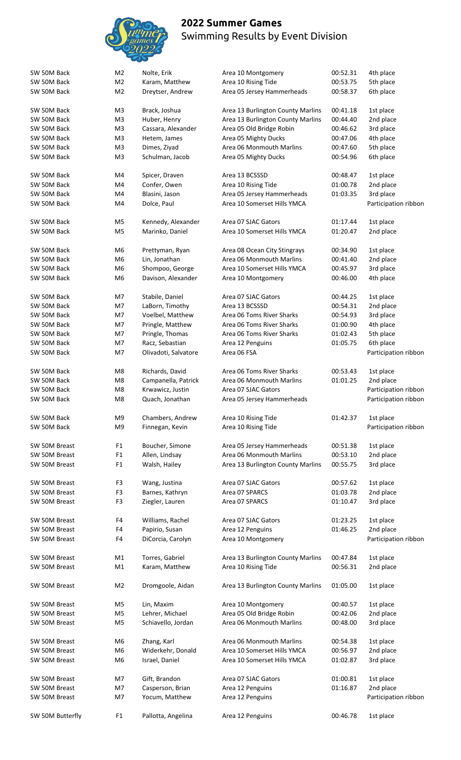

| SW 50M Back                | M <sub>2</sub> | Nolte, Erik          | Area 10 Montgomery                | 00:52.31 | 4th place            |
|----------------------------|----------------|----------------------|-----------------------------------|----------|----------------------|
| SW 50M Back                | M <sub>2</sub> | Karam, Matthew       | Area 10 Rising Tide               | 00:53.75 | 5th place            |
| SW 50M Back                | M <sub>2</sub> | Dreytser, Andrew     | Area 05 Jersey Hammerheads        | 00:58.37 | 6th place            |
|                            |                |                      |                                   |          |                      |
| SW 50M Back<br>SW 50M Back | M3             | Brack, Joshua        | Area 13 Burlington County Marlins | 00:41.18 | 1st place            |
|                            | M3             | Huber, Henry         | Area 13 Burlington County Marlins | 00:44.40 | 2nd place            |
| SW 50M Back                | M3             | Cassara, Alexander   | Area 05 Old Bridge Robin          | 00:46.62 | 3rd place            |
| SW 50M Back                | M <sub>3</sub> | Hetem, James         | Area 05 Mighty Ducks              | 00:47.06 | 4th place            |
| SW 50M Back                | M3             | Dimes, Ziyad         | Area 06 Monmouth Marlins          | 00:47.60 | 5th place            |
| SW 50M Back                | M3             | Schulman, Jacob      | Area 05 Mighty Ducks              | 00:54.96 | 6th place            |
| SW 50M Back                | M4             | Spicer, Draven       | Area 13 BCSSSD                    | 00:48.47 | 1st place            |
| SW 50M Back                | M4             | Confer, Owen         | Area 10 Rising Tide               | 01:00.78 | 2nd place            |
| SW 50M Back                | M4             | Blasini, Jason       | Area 05 Jersey Hammerheads        | 01:03.35 | 3rd place            |
| SW 50M Back                | M4             | Dolce, Paul          | Area 10 Somerset Hills YMCA       |          | Participation ribbon |
| SW 50M Back                | M5             | Kennedy, Alexander   | Area 07 SJAC Gators               | 01:17.44 | 1st place            |
| SW 50M Back                | M <sub>5</sub> | Marinko, Daniel      | Area 10 Somerset Hills YMCA       | 01:20.47 | 2nd place            |
|                            |                |                      |                                   |          |                      |
| SW 50M Back                | M6             | Prettyman, Ryan      | Area 08 Ocean City Stingrays      | 00:34.90 | 1st place            |
| SW 50M Back                | M6             | Lin, Jonathan        | Area 06 Monmouth Marlins          | 00:41.40 | 2nd place            |
| SW 50M Back                | M6             | Shompoo, George      | Area 10 Somerset Hills YMCA       | 00:45.97 | 3rd place            |
| SW 50M Back                | M6             | Davison, Alexander   | Area 10 Montgomery                | 00:46.00 | 4th place            |
| SW 50M Back                | M7             | Stabile, Daniel      | Area 07 SJAC Gators               | 00:44.25 | 1st place            |
| SW 50M Back                | M7             | LaBorn, Timothy      | Area 13 BCSSSD                    | 00:54.31 | 2nd place            |
| SW 50M Back                | M7             | Voelbel, Matthew     | Area 06 Toms River Sharks         | 00:54.93 | 3rd place            |
| SW 50M Back                | M7             | Pringle, Matthew     | Area 06 Toms River Sharks         | 01:00.90 | 4th place            |
| SW 50M Back                | M7             | Pringle, Thomas      | Area 06 Toms River Sharks         | 01:02.43 | 5th place            |
| SW 50M Back                | M7             | Racz, Sebastian      | Area 12 Penguins                  | 01:05.75 | 6th place            |
| SW 50M Back                | M7             | Olivadoti, Salvatore | Area 06 FSA                       |          | Participation ribbon |
|                            |                |                      |                                   |          |                      |
| SW 50M Back                | M8             | Richards, David      | Area 06 Toms River Sharks         | 00:53.43 | 1st place            |
| SW 50M Back                | M8             | Campanella, Patrick  | Area 06 Monmouth Marlins          | 01:01.25 | 2nd place            |
| SW 50M Back                | M <sub>8</sub> | Krwawicz, Justin     | Area 07 SJAC Gators               |          | Participation ribbon |
| SW 50M Back                | M8             | Quach, Jonathan      | Area 05 Jersey Hammerheads        |          | Participation ribbon |
| SW 50M Back                | M9             | Chambers, Andrew     | Area 10 Rising Tide               | 01:42.37 | 1st place            |
| SW 50M Back                | M9             | Finnegan, Kevin      | Area 10 Rising Tide               |          | Participation ribbon |
|                            |                |                      |                                   |          |                      |
| SW 50M Breast              | F1             | Boucher, Simone      | Area 05 Jersey Hammerheads        | 00:51.38 | 1st place            |
| SW 50M Breast              | F1             | Allen, Lindsay       | Area 06 Monmouth Marlins          | 00:53.10 | 2nd place            |
| SW 50M Breast              | F1             | Walsh, Hailey        | Area 13 Burlington County Marlins | 00:55.75 | 3rd place            |
| SW 50M Breast              | F3             | Wang, Justina        | Area 07 SJAC Gators               | 00:57.62 | 1st place            |
| SW 50M Breast              | F3             | Barnes, Kathryn      | Area 07 SPARCS                    | 01:03.78 | 2nd place            |
| SW 50M Breast              | F3             | Ziegler, Lauren      | Area 07 SPARCS                    | 01:10.47 | 3rd place            |
| SW 50M Breast              | F4             | Williams, Rachel     | Area 07 SJAC Gators               | 01:23.25 | 1st place            |
| SW 50M Breast              | F4             | Papirio, Susan       | Area 12 Penguins                  | 01:46.25 | 2nd place            |
| SW 50M Breast              | F4             | DiCorcia, Carolyn    | Area 10 Montgomery                |          | Participation ribbon |
|                            |                |                      |                                   |          |                      |
| SW 50M Breast              | M1             | Torres, Gabriel      | Area 13 Burlington County Marlins | 00:47.84 | 1st place            |
| SW 50M Breast              | M1             | Karam, Matthew       | Area 10 Rising Tide               | 00:56.31 | 2nd place            |
| SW 50M Breast              | M <sub>2</sub> | Dromgoole, Aidan     | Area 13 Burlington County Marlins | 01:05.00 | 1st place            |
| SW 50M Breast              | M5             | Lin, Maxim           | Area 10 Montgomery                | 00:40.57 | 1st place            |
| SW 50M Breast              | M5             | Lehrer, Michael      | Area 05 Old Bridge Robin          | 00:42.06 | 2nd place            |
| SW 50M Breast              | M5             | Schiavello, Jordan   | Area 06 Monmouth Marlins          | 00:48.00 | 3rd place            |
|                            |                |                      |                                   |          |                      |
| SW 50M Breast              | M6             | Zhang, Karl          | Area 06 Monmouth Marlins          | 00:54.38 | 1st place            |
| SW 50M Breast              | M6             | Widerkehr, Donald    | Area 10 Somerset Hills YMCA       | 00:56.97 | 2nd place            |
| SW 50M Breast              | M6             | Israel, Daniel       | Area 10 Somerset Hills YMCA       | 01:02.87 | 3rd place            |
| SW 50M Breast              | M7             | Gift, Brandon        | Area 07 SJAC Gators               | 01:00.81 | 1st place            |
| SW 50M Breast              | M7             | Casperson, Brian     | Area 12 Penguins                  | 01:16.87 | 2nd place            |
| SW 50M Breast              |                |                      |                                   |          | Participation ribbon |
|                            | M7             | Yocum, Matthew       | Area 12 Penguins                  |          |                      |
| SW 50M Butterfly           | F <sub>1</sub> | Pallotta, Angelina   | Area 12 Penguins                  | 00:46.78 | 1st place            |
|                            |                |                      |                                   |          |                      |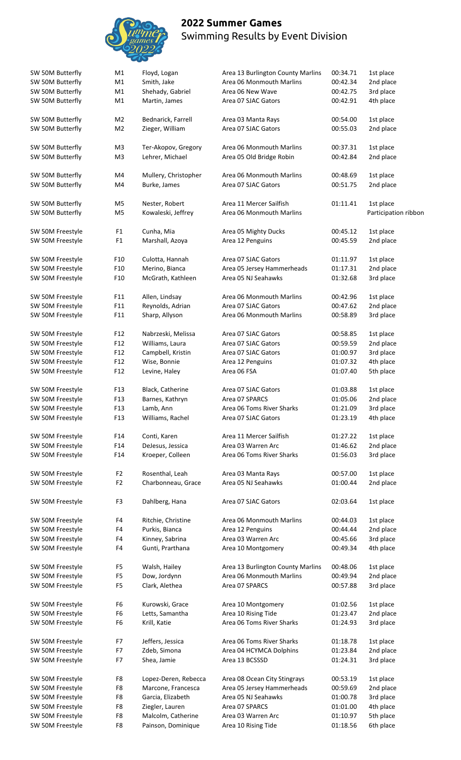

| SW 50M Butterfly | M1              | Floyd, Logan         | Area 13 Burlington County Marlins | 00:34.71 | 1st place            |
|------------------|-----------------|----------------------|-----------------------------------|----------|----------------------|
| SW 50M Butterfly | M1              | Smith, Jake          | Area 06 Monmouth Marlins          | 00:42.34 | 2nd place            |
| SW 50M Butterfly | M1              | Shehady, Gabriel     | Area 06 New Wave                  | 00:42.75 | 3rd place            |
| SW 50M Butterfly | M1              | Martin, James        | Area 07 SJAC Gators               | 00:42.91 | 4th place            |
|                  |                 |                      |                                   |          |                      |
| SW 50M Butterfly | M <sub>2</sub>  | Bednarick, Farrell   | Area 03 Manta Rays                | 00:54.00 | 1st place            |
| SW 50M Butterfly | M <sub>2</sub>  | Zieger, William      | Area 07 SJAC Gators               | 00:55.03 | 2nd place            |
|                  |                 |                      |                                   |          |                      |
| SW 50M Butterfly | M <sub>3</sub>  | Ter-Akopov, Gregory  | Area 06 Monmouth Marlins          | 00:37.31 | 1st place            |
| SW 50M Butterfly | M <sub>3</sub>  | Lehrer, Michael      | Area 05 Old Bridge Robin          | 00:42.84 | 2nd place            |
| SW 50M Butterfly | M4              | Mullery, Christopher | Area 06 Monmouth Marlins          | 00:48.69 | 1st place            |
| SW 50M Butterfly | M4              | Burke, James         | Area 07 SJAC Gators               | 00:51.75 | 2nd place            |
|                  |                 |                      |                                   |          |                      |
| SW 50M Butterfly | M <sub>5</sub>  | Nester, Robert       | Area 11 Mercer Sailfish           | 01:11.41 | 1st place            |
| SW 50M Butterfly | M <sub>5</sub>  | Kowaleski, Jeffrey   | Area 06 Monmouth Marlins          |          | Participation ribbor |
|                  |                 |                      |                                   |          |                      |
| SW 50M Freestyle | F <sub>1</sub>  | Cunha, Mia           | Area 05 Mighty Ducks              | 00:45.12 | 1st place            |
| SW 50M Freestyle | F <sub>1</sub>  | Marshall, Azoya      | Area 12 Penguins                  | 00:45.59 | 2nd place            |
|                  |                 |                      |                                   |          |                      |
| SW 50M Freestyle | F10             | Culotta, Hannah      | Area 07 SJAC Gators               | 01:11.97 | 1st place            |
| SW 50M Freestyle | F10             | Merino, Bianca       | Area 05 Jersey Hammerheads        | 01:17.31 | 2nd place            |
| SW 50M Freestyle | F <sub>10</sub> | McGrath, Kathleen    | Area 05 NJ Seahawks               | 01:32.68 | 3rd place            |
|                  |                 |                      |                                   |          |                      |
| SW 50M Freestyle | F11             | Allen, Lindsay       | Area 06 Monmouth Marlins          | 00:42.96 | 1st place            |
| SW 50M Freestyle | F11             | Reynolds, Adrian     | Area 07 SJAC Gators               | 00:47.62 | 2nd place            |
| SW 50M Freestyle | F11             | Sharp, Allyson       | Area 06 Monmouth Marlins          | 00:58.89 | 3rd place            |
|                  |                 |                      |                                   |          |                      |
| SW 50M Freestyle | F12             | Nabrzeski, Melissa   | Area 07 SJAC Gators               | 00:58.85 | 1st place            |
| SW 50M Freestyle | F <sub>12</sub> | Williams, Laura      | Area 07 SJAC Gators               | 00:59.59 | 2nd place            |
| SW 50M Freestyle | F12             | Campbell, Kristin    | Area 07 SJAC Gators               | 01:00.97 | 3rd place            |
| SW 50M Freestyle | F <sub>12</sub> | Wise, Bonnie         | Area 12 Penguins                  | 01:07.32 | 4th place            |
| SW 50M Freestyle | F <sub>12</sub> | Levine, Haley        | Area 06 FSA                       | 01:07.40 | 5th place            |
|                  |                 |                      |                                   |          |                      |
| SW 50M Freestyle | F13             | Black, Catherine     | Area 07 SJAC Gators               | 01:03.88 | 1st place            |
| SW 50M Freestyle | F13             | Barnes, Kathryn      | Area 07 SPARCS                    | 01:05.06 | 2nd place            |
| SW 50M Freestyle | F <sub>13</sub> | Lamb, Ann            | Area 06 Toms River Sharks         | 01:21.09 | 3rd place            |
| SW 50M Freestyle | F13             | Williams, Rachel     | Area 07 SJAC Gators               | 01:23.19 | 4th place            |
| SW 50M Freestyle | F14             | Conti, Karen         | Area 11 Mercer Sailfish           | 01:27.22 | 1st place            |
| SW 50M Freestyle | F14             | DeJesus, Jessica     | Area 03 Warren Arc                | 01:46.62 | 2nd place            |
| SW 50M Freestyle | F14             | Kroeper, Colleen     | Area 06 Toms River Sharks         | 01:56.03 | 3rd place            |
|                  |                 |                      |                                   |          |                      |
| SW 50M Freestyle | F <sub>2</sub>  | Rosenthal, Leah      | Area 03 Manta Rays                | 00:57.00 | 1st place            |
| SW 50M Freestyle | F <sub>2</sub>  | Charbonneau, Grace   | Area 05 NJ Seahawks               | 01:00.44 | 2nd place            |
|                  |                 |                      |                                   |          |                      |
| SW 50M Freestyle | F3              | Dahlberg, Hana       | Area 07 SJAC Gators               | 02:03.64 | 1st place            |
|                  |                 |                      |                                   |          |                      |
| SW 50M Freestyle | F4              | Ritchie, Christine   | Area 06 Monmouth Marlins          | 00:44.03 | 1st place            |
| SW 50M Freestyle | F4              | Purkis, Bianca       | Area 12 Penguins                  | 00:44.44 | 2nd place            |
| SW 50M Freestyle | F4              | Kinney, Sabrina      | Area 03 Warren Arc                | 00:45.66 | 3rd place            |
| SW 50M Freestyle | F4              | Gunti, Prarthana     | Area 10 Montgomery                | 00:49.34 | 4th place            |
|                  |                 |                      |                                   |          |                      |
| SW 50M Freestyle | F <sub>5</sub>  | Walsh, Hailey        | Area 13 Burlington County Marlins | 00:48.06 | 1st place            |
| SW 50M Freestyle | F <sub>5</sub>  | Dow, Jordynn         | Area 06 Monmouth Marlins          | 00:49.94 | 2nd place            |
| SW 50M Freestyle | F <sub>5</sub>  | Clark, Alethea       | Area 07 SPARCS                    | 00:57.88 | 3rd place            |
|                  |                 |                      |                                   |          |                      |
| SW 50M Freestyle | F <sub>6</sub>  | Kurowski, Grace      | Area 10 Montgomery                | 01:02.56 | 1st place            |
| SW 50M Freestyle | F <sub>6</sub>  | Letts, Samantha      | Area 10 Rising Tide               | 01:23.47 | 2nd place            |
| SW 50M Freestyle | F <sub>6</sub>  | Krill, Katie         | Area 06 Toms River Sharks         | 01:24.93 | 3rd place            |
| SW 50M Freestyle | F7              | Jeffers, Jessica     | Area 06 Toms River Sharks         | 01:18.78 | 1st place            |
| SW 50M Freestyle | F7              | Zdeb, Simona         | Area 04 HCYMCA Dolphins           | 01:23.84 | 2nd place            |
| SW 50M Freestyle | F7              | Shea, Jamie          | Area 13 BCSSSD                    | 01:24.31 | 3rd place            |
|                  |                 |                      |                                   |          |                      |
| SW 50M Freestyle | F8              | Lopez-Deren, Rebecca | Area 08 Ocean City Stingrays      | 00:53.19 | 1st place            |
| SW 50M Freestyle | F8              | Marcone, Francesca   | Area 05 Jersey Hammerheads        | 00:59.69 | 2nd place            |
| SW 50M Freestyle | F8              | Garcia, Elizabeth    | Area 05 NJ Seahawks               | 01:00.78 | 3rd place            |
| SW 50M Freestyle | F8              | Ziegler, Lauren      | Area 07 SPARCS                    | 01:01.00 | 4th place            |
| SW 50M Freestyle | F8              | Malcolm, Catherine   | Area 03 Warren Arc                | 01:10.97 | 5th place            |
| SW 50M Freestyle | F8              | Painson, Dominique   | Area 10 Rising Tide               | 01:18.56 | 6th place            |
|                  |                 |                      |                                   |          |                      |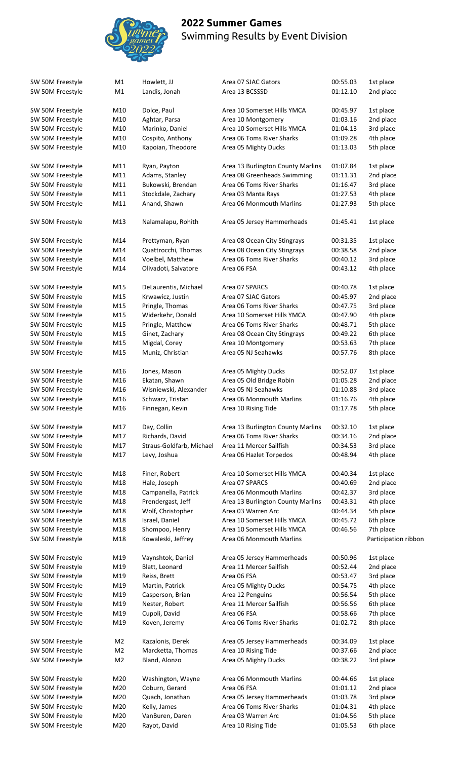

| SW 50M Freestyle | M1             | Howlett, JJ              | Area 07 SJAC Gators               | 00:55.03 | 1st place            |
|------------------|----------------|--------------------------|-----------------------------------|----------|----------------------|
| SW 50M Freestyle | M1             | Landis, Jonah            | Area 13 BCSSSD                    | 01:12.10 | 2nd place            |
|                  |                |                          |                                   |          |                      |
| SW 50M Freestyle | M10            | Dolce, Paul              | Area 10 Somerset Hills YMCA       | 00:45.97 | 1st place            |
| SW 50M Freestyle | M10            | Aghtar, Parsa            | Area 10 Montgomery                | 01:03.16 | 2nd place            |
| SW 50M Freestyle | M10            | Marinko, Daniel          | Area 10 Somerset Hills YMCA       | 01:04.13 | 3rd place            |
|                  |                |                          |                                   |          |                      |
| SW 50M Freestyle | M10            | Cospito, Anthony         | Area 06 Toms River Sharks         | 01:09.28 | 4th place            |
| SW 50M Freestyle | M10            | Kapoian, Theodore        | Area 05 Mighty Ducks              | 01:13.03 | 5th place            |
| SW 50M Freestyle | M11            | Ryan, Payton             | Area 13 Burlington County Marlins | 01:07.84 | 1st place            |
|                  | M11            |                          | Area 08 Greenheads Swimming       |          |                      |
| SW 50M Freestyle |                | Adams, Stanley           |                                   | 01:11.31 | 2nd place            |
| SW 50M Freestyle | M11            | Bukowski, Brendan        | Area 06 Toms River Sharks         | 01:16.47 | 3rd place            |
| SW 50M Freestyle | M11            | Stockdale, Zachary       | Area 03 Manta Rays                | 01:27.53 | 4th place            |
| SW 50M Freestyle | M11            | Anand, Shawn             | Area 06 Monmouth Marlins          | 01:27.93 | 5th place            |
| SW 50M Freestyle | M13            | Nalamalapu, Rohith       | Area 05 Jersey Hammerheads        | 01:45.41 | 1st place            |
|                  |                |                          |                                   |          |                      |
| SW 50M Freestyle | M14            | Prettyman, Ryan          | Area 08 Ocean City Stingrays      | 00:31.35 | 1st place            |
| SW 50M Freestyle | M14            | Quattrocchi, Thomas      | Area 08 Ocean City Stingrays      | 00:38.58 | 2nd place            |
| SW 50M Freestyle | M14            | Voelbel, Matthew         | Area 06 Toms River Sharks         | 00:40.12 | 3rd place            |
| SW 50M Freestyle | M14            | Olivadoti, Salvatore     | Area 06 FSA                       | 00:43.12 | 4th place            |
|                  |                |                          |                                   |          |                      |
| SW 50M Freestyle | M15            | DeLaurentis, Michael     | Area 07 SPARCS                    | 00:40.78 | 1st place            |
| SW 50M Freestyle | M15            | Krwawicz, Justin         | Area 07 SJAC Gators               | 00:45.97 | 2nd place            |
| SW 50M Freestyle | M15            | Pringle, Thomas          | Area 06 Toms River Sharks         | 00:47.75 | 3rd place            |
| SW 50M Freestyle | M15            | Widerkehr, Donald        | Area 10 Somerset Hills YMCA       | 00:47.90 | 4th place            |
| SW 50M Freestyle | M15            | Pringle, Matthew         | Area 06 Toms River Sharks         | 00:48.71 | 5th place            |
| SW 50M Freestyle | M15            | Ginet, Zachary           | Area 08 Ocean City Stingrays      | 00:49.22 | 6th place            |
| SW 50M Freestyle | M15            | Migdal, Corey            | Area 10 Montgomery                | 00:53.63 | 7th place            |
|                  |                |                          |                                   |          |                      |
| SW 50M Freestyle | M15            | Muniz, Christian         | Area 05 NJ Seahawks               | 00:57.76 | 8th place            |
| SW 50M Freestyle | M16            | Jones, Mason             | Area 05 Mighty Ducks              | 00:52.07 | 1st place            |
| SW 50M Freestyle | M16            | Ekatan, Shawn            | Area 05 Old Bridge Robin          | 01:05.28 | 2nd place            |
| SW 50M Freestyle | M16            | Wisniewski, Alexander    | Area 05 NJ Seahawks               | 01:10.88 | 3rd place            |
| SW 50M Freestyle | M16            | Schwarz, Tristan         | Area 06 Monmouth Marlins          | 01:16.76 | 4th place            |
| SW 50M Freestyle | M16            | Finnegan, Kevin          | Area 10 Rising Tide               | 01:17.78 | 5th place            |
|                  |                |                          |                                   |          |                      |
| SW 50M Freestyle | M17            | Day, Collin              | Area 13 Burlington County Marlins | 00:32.10 | 1st place            |
| SW 50M Freestyle | M17            | Richards, David          | Area 06 Toms River Sharks         | 00:34.16 | 2nd place            |
| SW 50M Freestyle | M17            | Straus-Goldfarb, Michael | Area 11 Mercer Sailfish           | 00:34.53 | 3rd place            |
| SW 50M Freestyle | M17            | Levy, Joshua             | Area 06 Hazlet Torpedos           | 00:48.94 | 4th place            |
|                  |                |                          |                                   |          |                      |
| SW 50M Freestyle | M18            | Finer, Robert            | Area 10 Somerset Hills YMCA       | 00:40.34 | 1st place            |
| SW 50M Freestyle | M18            | Hale, Joseph             | Area 07 SPARCS                    | 00:40.69 | 2nd place            |
| SW 50M Freestyle | M18            | Campanella, Patrick      | Area 06 Monmouth Marlins          | 00:42.37 | 3rd place            |
| SW 50M Freestyle | M18            | Prendergast, Jeff        | Area 13 Burlington County Marlins | 00:43.31 | 4th place            |
| SW 50M Freestyle | M18            | Wolf, Christopher        | Area 03 Warren Arc                | 00:44.34 | 5th place            |
|                  | M18            | Israel, Daniel           | Area 10 Somerset Hills YMCA       | 00:45.72 | 6th place            |
| SW 50M Freestyle |                |                          |                                   |          |                      |
| SW 50M Freestyle | M18            | Shompoo, Henry           | Area 10 Somerset Hills YMCA       | 00:46.56 | 7th place            |
| SW 50M Freestyle | M18            | Kowaleski, Jeffrey       | Area 06 Monmouth Marlins          |          | Participation ribbor |
| SW 50M Freestyle | M19            | Vaynshtok, Daniel        | Area 05 Jersey Hammerheads        | 00:50.96 | 1st place            |
|                  | M19            |                          | Area 11 Mercer Sailfish           |          |                      |
| SW 50M Freestyle |                | Blatt, Leonard           |                                   | 00:52.44 | 2nd place            |
| SW 50M Freestyle | M19            | Reiss, Brett             | Area 06 FSA                       | 00:53.47 | 3rd place            |
| SW 50M Freestyle | M19            | Martin, Patrick          | Area 05 Mighty Ducks              | 00:54.75 | 4th place            |
| SW 50M Freestyle | M19            | Casperson, Brian         | Area 12 Penguins                  | 00:56.54 | 5th place            |
| SW 50M Freestyle | M19            | Nester, Robert           | Area 11 Mercer Sailfish           | 00:56.56 | 6th place            |
| SW 50M Freestyle | M19            | Cupoli, David            | Area 06 FSA                       | 00:58.66 | 7th place            |
| SW 50M Freestyle | M19            | Koven, Jeremy            | Area 06 Toms River Sharks         | 01:02.72 | 8th place            |
|                  |                |                          |                                   |          |                      |
| SW 50M Freestyle | M2             | Kazalonis, Derek         | Area 05 Jersey Hammerheads        | 00:34.09 | 1st place            |
| SW 50M Freestyle | M <sub>2</sub> | Marcketta, Thomas        | Area 10 Rising Tide               | 00:37.66 | 2nd place            |
| SW 50M Freestyle | M <sub>2</sub> | Bland, Alonzo            | Area 05 Mighty Ducks              | 00:38.22 | 3rd place            |
|                  |                |                          |                                   |          |                      |
| SW 50M Freestyle | M20            | Washington, Wayne        | Area 06 Monmouth Marlins          | 00:44.66 | 1st place            |
| SW 50M Freestyle | M20            | Coburn, Gerard           | Area 06 FSA                       | 01:01.12 | 2nd place            |
| SW 50M Freestyle | M20            | Quach, Jonathan          | Area 05 Jersey Hammerheads        | 01:03.78 | 3rd place            |
| SW 50M Freestyle | M20            | Kelly, James             | Area 06 Toms River Sharks         | 01:04.31 | 4th place            |
| SW 50M Freestyle | M20            | VanBuren, Daren          | Area 03 Warren Arc                | 01:04.56 | 5th place            |
| SW 50M Freestyle | M20            | Rayot, David             | Area 10 Rising Tide               | 01:05.53 | 6th place            |
|                  |                |                          |                                   |          |                      |